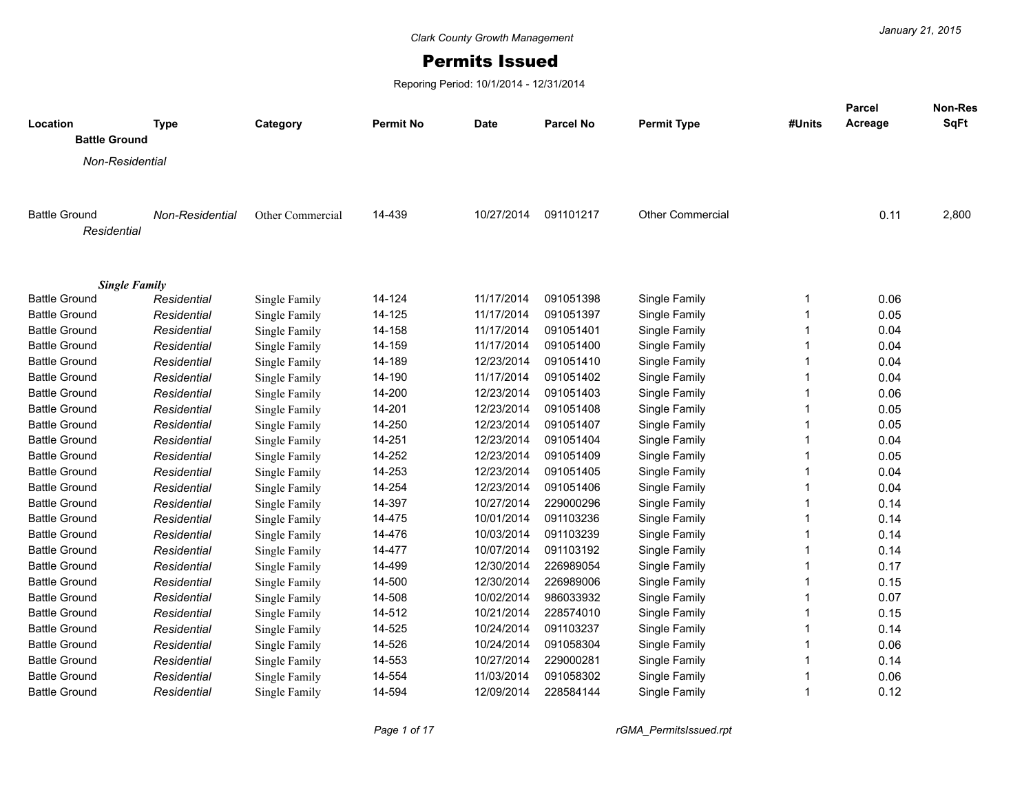## Permits Issued

Reporing Period: 10/1/2014 - 12/31/2014

| Location<br><b>Battle Ground</b>             | <b>Type</b>                | Category                       | <b>Permit No</b> | <b>Date</b>              | <b>Parcel No</b> | <b>Permit Type</b>             | #Units | Parcel<br>Acreage | Non-Res<br><b>SqFt</b> |
|----------------------------------------------|----------------------------|--------------------------------|------------------|--------------------------|------------------|--------------------------------|--------|-------------------|------------------------|
|                                              |                            |                                |                  |                          |                  |                                |        |                   |                        |
| Non-Residential                              |                            |                                |                  |                          |                  |                                |        |                   |                        |
| <b>Battle Ground</b><br>Residential          | Non-Residential            | Other Commercial               | 14-439           | 10/27/2014               | 091101217        | <b>Other Commercial</b>        |        | 0.11              | 2,800                  |
|                                              |                            |                                |                  |                          |                  |                                |        |                   |                        |
| <b>Single Family</b>                         |                            |                                | 14-124           |                          | 091051398        |                                | 1      |                   |                        |
| <b>Battle Ground</b><br><b>Battle Ground</b> | Residential                | Single Family<br>Single Family | 14-125           | 11/17/2014<br>11/17/2014 | 091051397        | Single Family<br>Single Family | 1      | 0.06<br>0.05      |                        |
| <b>Battle Ground</b>                         | Residential<br>Residential | Single Family                  | 14-158           | 11/17/2014               | 091051401        | Single Family                  |        | 0.04              |                        |
| <b>Battle Ground</b>                         | Residential                | Single Family                  | 14-159           | 11/17/2014               | 091051400        | Single Family                  |        | 0.04              |                        |
| <b>Battle Ground</b>                         | Residential                | Single Family                  | 14-189           | 12/23/2014               | 091051410        | Single Family                  |        | 0.04              |                        |
| <b>Battle Ground</b>                         | Residential                | Single Family                  | 14-190           | 11/17/2014               | 091051402        | Single Family                  |        | 0.04              |                        |
| <b>Battle Ground</b>                         | Residential                | Single Family                  | 14-200           | 12/23/2014               | 091051403        | Single Family                  |        | 0.06              |                        |
| <b>Battle Ground</b>                         | Residential                | Single Family                  | 14-201           | 12/23/2014               | 091051408        | Single Family                  |        | 0.05              |                        |
| <b>Battle Ground</b>                         | Residential                | Single Family                  | 14-250           | 12/23/2014               | 091051407        | Single Family                  | 1      | 0.05              |                        |
| <b>Battle Ground</b>                         | Residential                | Single Family                  | 14-251           | 12/23/2014               | 091051404        | Single Family                  |        | 0.04              |                        |
| <b>Battle Ground</b>                         | Residential                | Single Family                  | 14-252           | 12/23/2014               | 091051409        | Single Family                  |        | 0.05              |                        |
| <b>Battle Ground</b>                         | Residential                | <b>Single Family</b>           | 14-253           | 12/23/2014               | 091051405        | Single Family                  |        | 0.04              |                        |
| <b>Battle Ground</b>                         | Residential                | Single Family                  | 14-254           | 12/23/2014               | 091051406        | Single Family                  |        | 0.04              |                        |
| <b>Battle Ground</b>                         | Residential                | Single Family                  | 14-397           | 10/27/2014               | 229000296        | Single Family                  |        | 0.14              |                        |
| <b>Battle Ground</b>                         | Residential                | Single Family                  | 14-475           | 10/01/2014               | 091103236        | Single Family                  |        | 0.14              |                        |
| <b>Battle Ground</b>                         | Residential                | Single Family                  | 14-476           | 10/03/2014               | 091103239        | Single Family                  |        | 0.14              |                        |
| <b>Battle Ground</b>                         | Residential                | Single Family                  | 14-477           | 10/07/2014               | 091103192        | Single Family                  |        | 0.14              |                        |
| <b>Battle Ground</b>                         | Residential                | Single Family                  | 14-499           | 12/30/2014               | 226989054        | Single Family                  |        | 0.17              |                        |
| <b>Battle Ground</b>                         | Residential                | Single Family                  | 14-500           | 12/30/2014               | 226989006        | Single Family                  |        | 0.15              |                        |
| <b>Battle Ground</b>                         | Residential                | Single Family                  | 14-508           | 10/02/2014               | 986033932        | Single Family                  |        | 0.07              |                        |
| <b>Battle Ground</b>                         | Residential                | Single Family                  | 14-512           | 10/21/2014               | 228574010        | Single Family                  |        | 0.15              |                        |
| <b>Battle Ground</b>                         | Residential                | Single Family                  | 14-525           | 10/24/2014               | 091103237        | Single Family                  |        | 0.14              |                        |
| <b>Battle Ground</b>                         | Residential                | Single Family                  | 14-526           | 10/24/2014               | 091058304        | Single Family                  |        | 0.06              |                        |
| <b>Battle Ground</b>                         | Residential                | Single Family                  | 14-553           | 10/27/2014               | 229000281        | Single Family                  |        | 0.14              |                        |
| <b>Battle Ground</b>                         | Residential                | Single Family                  | 14-554           | 11/03/2014               | 091058302        | Single Family                  | 1      | 0.06              |                        |
| <b>Battle Ground</b>                         | Residential                | Single Family                  | 14-594           | 12/09/2014               | 228584144        | Single Family                  | 1      | 0.12              |                        |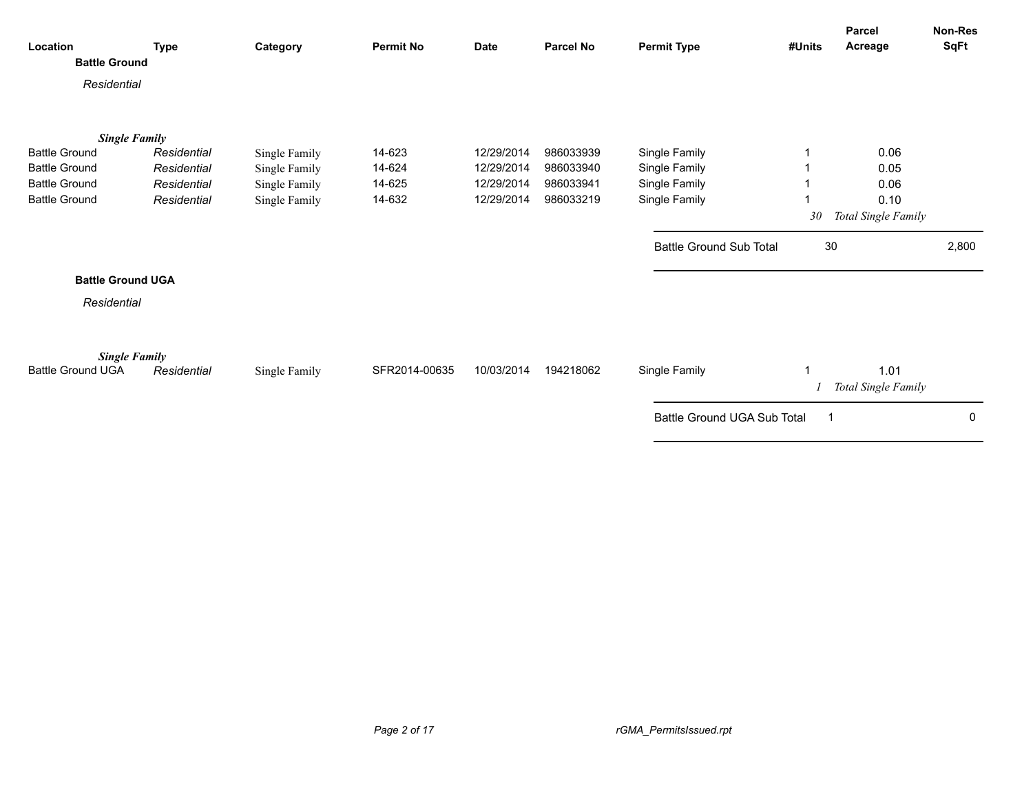| Location<br><b>Battle Ground</b>                 | <b>Type</b> | Category                       | <b>Permit No</b> | <b>Date</b> | <b>Parcel No</b> | <b>Permit Type</b>             | #Units | <b>Parcel</b><br>Acreage    | <b>Non-Res</b><br>SqFt |
|--------------------------------------------------|-------------|--------------------------------|------------------|-------------|------------------|--------------------------------|--------|-----------------------------|------------------------|
| Residential                                      |             |                                |                  |             |                  |                                |        |                             |                        |
| <b>Single Family</b><br><b>Battle Ground</b>     | Residential |                                | 14-623           | 12/29/2014  | 986033939        | Single Family                  |        | 0.06                        |                        |
| <b>Battle Ground</b>                             | Residential | Single Family<br>Single Family | 14-624           | 12/29/2014  | 986033940        | Single Family                  |        | 0.05                        |                        |
| <b>Battle Ground</b>                             | Residential | Single Family                  | 14-625           | 12/29/2014  | 986033941        | Single Family                  |        | 0.06                        |                        |
| <b>Battle Ground</b>                             | Residential | Single Family                  | 14-632           | 12/29/2014  | 986033219        | Single Family                  |        | 0.10                        |                        |
|                                                  |             |                                |                  |             |                  |                                | 30     | Total Single Family         |                        |
|                                                  |             |                                |                  |             |                  | <b>Battle Ground Sub Total</b> | 30     |                             | 2,800                  |
| <b>Battle Ground UGA</b>                         |             |                                |                  |             |                  |                                |        |                             |                        |
| Residential                                      |             |                                |                  |             |                  |                                |        |                             |                        |
| <b>Single Family</b><br><b>Battle Ground UGA</b> | Residential | Single Family                  | SFR2014-00635    | 10/03/2014  | 194218062        | Single Family                  |        | 1.01<br>Total Single Family |                        |
|                                                  |             |                                |                  |             |                  | Battle Ground UGA Sub Total    |        |                             | 0                      |
|                                                  |             |                                |                  |             |                  |                                |        |                             |                        |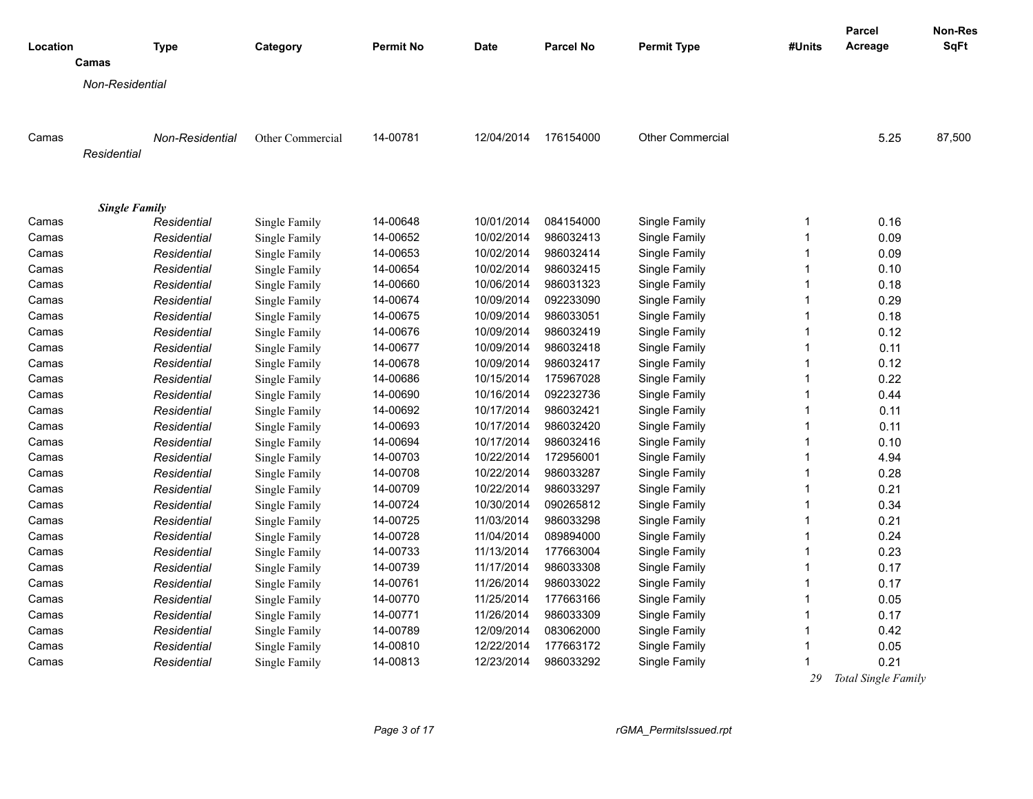| Location |                      | <b>Type</b>     | Category         | <b>Permit No</b> | <b>Date</b> | <b>Parcel No</b> | <b>Permit Type</b>      | #Units                  | Parcel<br>Acreage   | Non-Res<br>SqFt |
|----------|----------------------|-----------------|------------------|------------------|-------------|------------------|-------------------------|-------------------------|---------------------|-----------------|
|          | Camas                |                 |                  |                  |             |                  |                         |                         |                     |                 |
|          | Non-Residential      |                 |                  |                  |             |                  |                         |                         |                     |                 |
|          |                      |                 |                  |                  |             |                  |                         |                         |                     |                 |
| Camas    |                      | Non-Residential | Other Commercial | 14-00781         | 12/04/2014  | 176154000        | <b>Other Commercial</b> |                         | 5.25                | 87,500          |
|          | Residential          |                 |                  |                  |             |                  |                         |                         |                     |                 |
|          | <b>Single Family</b> |                 |                  |                  |             |                  |                         |                         |                     |                 |
| Camas    |                      | Residential     | Single Family    | 14-00648         | 10/01/2014  | 084154000        | Single Family           | $\mathbf 1$             | 0.16                |                 |
| Camas    |                      | Residential     | Single Family    | 14-00652         | 10/02/2014  | 986032413        | Single Family           | $\overline{1}$          | 0.09                |                 |
| Camas    |                      | Residential     | Single Family    | 14-00653         | 10/02/2014  | 986032414        | Single Family           | $\overline{1}$          | 0.09                |                 |
| Camas    |                      | Residential     | Single Family    | 14-00654         | 10/02/2014  | 986032415        | Single Family           |                         | 0.10                |                 |
| Camas    |                      | Residential     | Single Family    | 14-00660         | 10/06/2014  | 986031323        | Single Family           | 1                       | 0.18                |                 |
| Camas    |                      | Residential     | Single Family    | 14-00674         | 10/09/2014  | 092233090        | Single Family           | $\overline{1}$          | 0.29                |                 |
| Camas    |                      | Residential     | Single Family    | 14-00675         | 10/09/2014  | 986033051        | Single Family           | $\overline{1}$          | 0.18                |                 |
| Camas    |                      | Residential     | Single Family    | 14-00676         | 10/09/2014  | 986032419        | Single Family           | $\mathbf 1$             | 0.12                |                 |
| Camas    |                      | Residential     | Single Family    | 14-00677         | 10/09/2014  | 986032418        | Single Family           | $\overline{1}$          | 0.11                |                 |
| Camas    |                      | Residential     | Single Family    | 14-00678         | 10/09/2014  | 986032417        | Single Family           | $\mathbf{1}$            | 0.12                |                 |
| Camas    |                      | Residential     | Single Family    | 14-00686         | 10/15/2014  | 175967028        | Single Family           | $\overline{1}$          | 0.22                |                 |
| Camas    |                      | Residential     | Single Family    | 14-00690         | 10/16/2014  | 092232736        | Single Family           | $\overline{1}$          | 0.44                |                 |
| Camas    |                      | Residential     | Single Family    | 14-00692         | 10/17/2014  | 986032421        | Single Family           | $\mathbf 1$             | 0.11                |                 |
| Camas    |                      | Residential     | Single Family    | 14-00693         | 10/17/2014  | 986032420        | Single Family           | $\mathbf 1$             | 0.11                |                 |
| Camas    |                      | Residential     | Single Family    | 14-00694         | 10/17/2014  | 986032416        | Single Family           | $\overline{1}$          | 0.10                |                 |
| Camas    |                      | Residential     | Single Family    | 14-00703         | 10/22/2014  | 172956001        | Single Family           | $\overline{1}$          | 4.94                |                 |
| Camas    |                      | Residential     | Single Family    | 14-00708         | 10/22/2014  | 986033287        | Single Family           | 1                       | 0.28                |                 |
| Camas    |                      | Residential     | Single Family    | 14-00709         | 10/22/2014  | 986033297        | Single Family           | $\mathbf 1$             | 0.21                |                 |
| Camas    |                      | Residential     | Single Family    | 14-00724         | 10/30/2014  | 090265812        | Single Family           | 1                       | 0.34                |                 |
| Camas    |                      | Residential     | Single Family    | 14-00725         | 11/03/2014  | 986033298        | Single Family           | $\mathbf 1$             | 0.21                |                 |
| Camas    |                      | Residential     | Single Family    | 14-00728         | 11/04/2014  | 089894000        | Single Family           | $\overline{1}$          | 0.24                |                 |
| Camas    |                      | Residential     | Single Family    | 14-00733         | 11/13/2014  | 177663004        | Single Family           | $\overline{\mathbf{1}}$ | 0.23                |                 |
| Camas    |                      | Residential     | Single Family    | 14-00739         | 11/17/2014  | 986033308        | Single Family           | $\mathbf{1}$            | 0.17                |                 |
| Camas    |                      | Residential     | Single Family    | 14-00761         | 11/26/2014  | 986033022        | Single Family           | $\overline{1}$          | 0.17                |                 |
| Camas    |                      | Residential     | Single Family    | 14-00770         | 11/25/2014  | 177663166        | Single Family           | 1                       | 0.05                |                 |
| Camas    |                      | Residential     | Single Family    | 14-00771         | 11/26/2014  | 986033309        | Single Family           | 1                       | 0.17                |                 |
| Camas    |                      | Residential     | Single Family    | 14-00789         | 12/09/2014  | 083062000        | Single Family           | $\mathbf 1$             | 0.42                |                 |
| Camas    |                      | Residential     | Single Family    | 14-00810         | 12/22/2014  | 177663172        | Single Family           | $\mathbf 1$             | 0.05                |                 |
| Camas    |                      | Residential     | Single Family    | 14-00813         | 12/23/2014  | 986033292        | Single Family           |                         | 0.21                |                 |
|          |                      |                 |                  |                  |             |                  |                         | 29                      | Total Single Family |                 |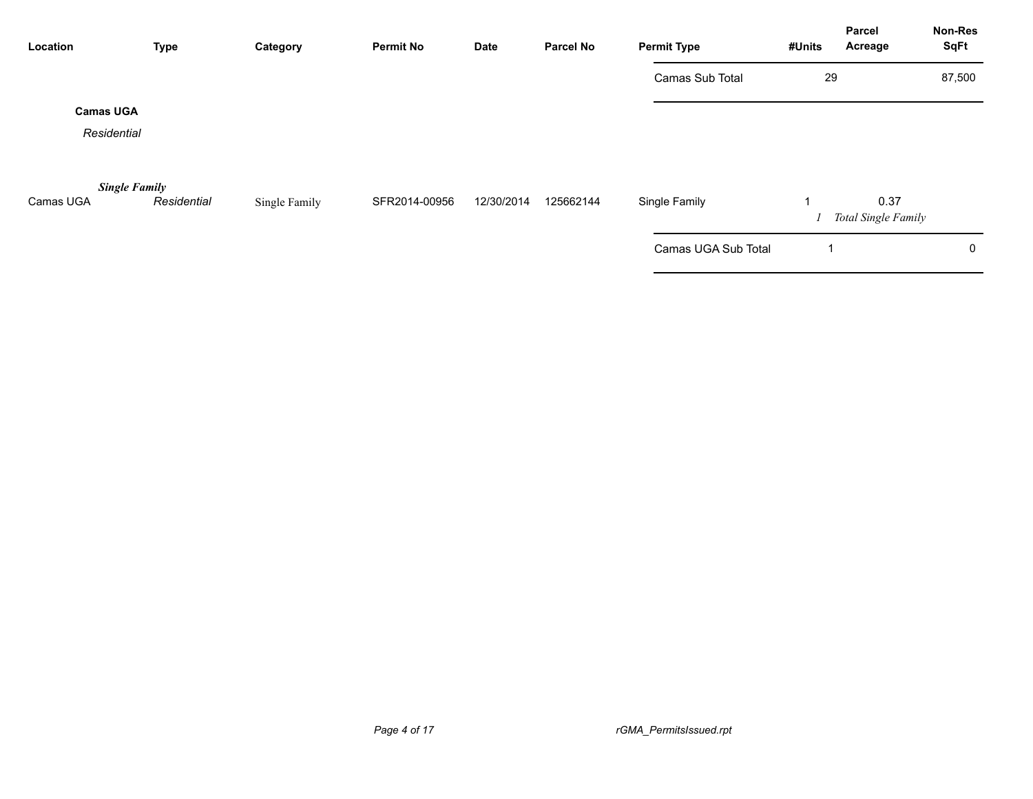| Location                          | <b>Type</b> | Category      | <b>Permit No</b> | <b>Date</b> | <b>Parcel No</b> | <b>Permit Type</b>  | #Units      | <b>Parcel</b><br>Acreage    | Non-Res<br><b>SqFt</b> |
|-----------------------------------|-------------|---------------|------------------|-------------|------------------|---------------------|-------------|-----------------------------|------------------------|
|                                   |             |               |                  |             |                  | Camas Sub Total     | 29          |                             | 87,500                 |
| <b>Camas UGA</b><br>Residential   |             |               |                  |             |                  |                     |             |                             |                        |
| <b>Single Family</b><br>Camas UGA | Residential | Single Family | SFR2014-00956    | 12/30/2014  | 125662144        | Single Family       |             | 0.37<br>Total Single Family |                        |
|                                   |             |               |                  |             |                  | Camas UGA Sub Total | $\mathbf 1$ |                             | $\mathbf 0$            |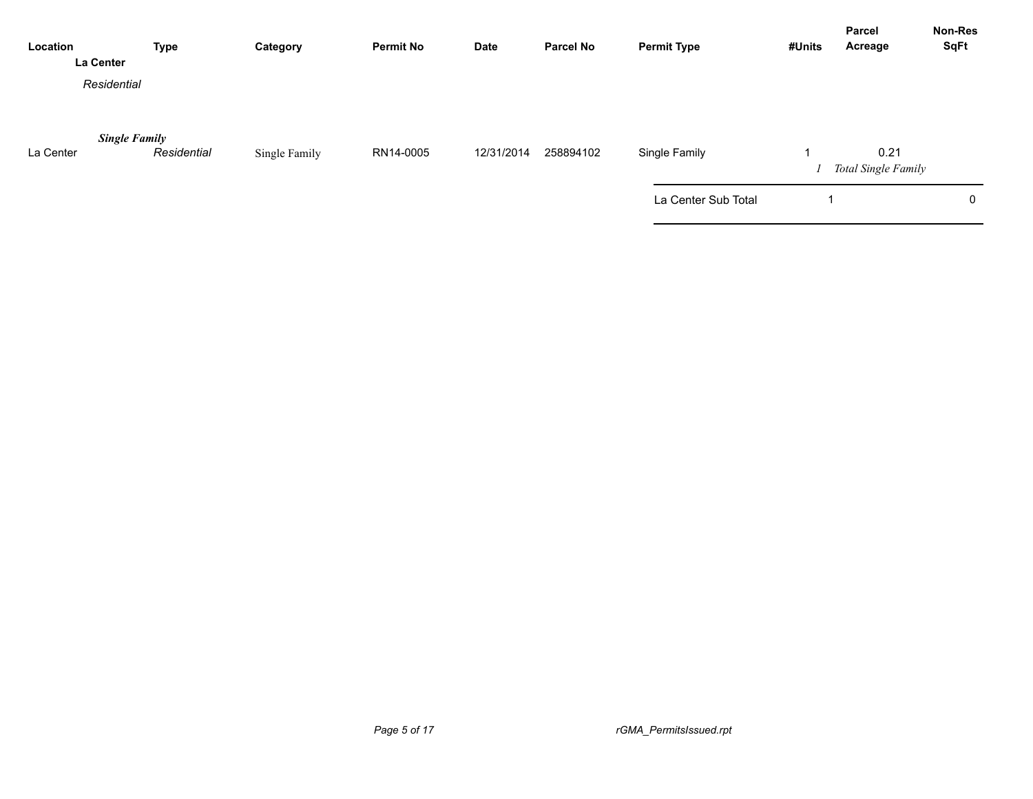| Location<br>La Center | <b>Type</b>                         | Category      | <b>Permit No</b> | Date       | <b>Parcel No</b> | <b>Permit Type</b>  | #Units | Parcel<br>Acreage           | Non-Res<br><b>SqFt</b> |
|-----------------------|-------------------------------------|---------------|------------------|------------|------------------|---------------------|--------|-----------------------------|------------------------|
| Residential           |                                     |               |                  |            |                  |                     |        |                             |                        |
| La Center             | <b>Single Family</b><br>Residential | Single Family | RN14-0005        | 12/31/2014 | 258894102        | Single Family       |        | 0.21<br>Total Single Family |                        |
|                       |                                     |               |                  |            |                  | La Center Sub Total |        |                             | $\mathbf 0$            |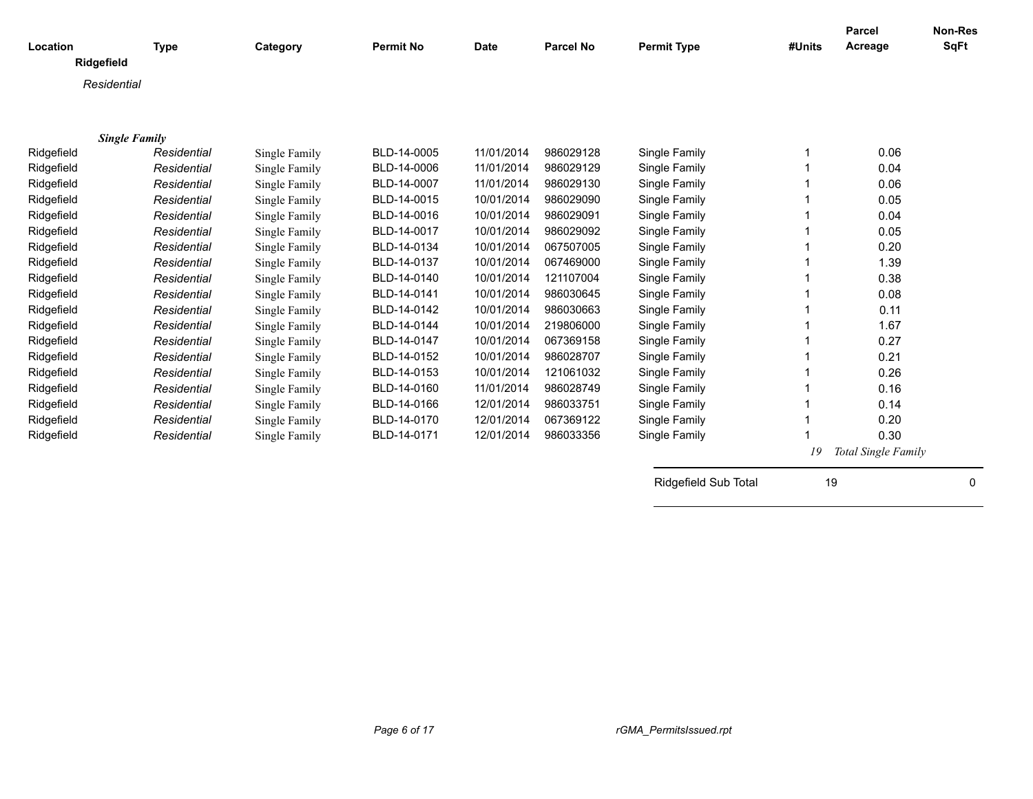| Location             | <b>Type</b> | Category      | <b>Permit No</b> | <b>Date</b> | <b>Parcel No</b> | <b>Permit Type</b>   | #Units | <b>Parcel</b><br>Acreage | <b>Non-Res</b><br><b>SqFt</b> |
|----------------------|-------------|---------------|------------------|-------------|------------------|----------------------|--------|--------------------------|-------------------------------|
| Ridgefield           |             |               |                  |             |                  |                      |        |                          |                               |
| Residential          |             |               |                  |             |                  |                      |        |                          |                               |
|                      |             |               |                  |             |                  |                      |        |                          |                               |
|                      |             |               |                  |             |                  |                      |        |                          |                               |
| <b>Single Family</b> |             |               |                  |             |                  |                      |        |                          |                               |
| Ridgefield           | Residential | Single Family | BLD-14-0005      | 11/01/2014  | 986029128        | Single Family        |        | 0.06                     |                               |
| Ridgefield           | Residential | Single Family | BLD-14-0006      | 11/01/2014  | 986029129        | Single Family        |        | 0.04                     |                               |
| Ridgefield           | Residential | Single Family | BLD-14-0007      | 11/01/2014  | 986029130        | Single Family        |        | 0.06                     |                               |
| Ridgefield           | Residential | Single Family | BLD-14-0015      | 10/01/2014  | 986029090        | Single Family        |        | 0.05                     |                               |
| Ridgefield           | Residential | Single Family | BLD-14-0016      | 10/01/2014  | 986029091        | Single Family        |        | 0.04                     |                               |
| Ridgefield           | Residential | Single Family | BLD-14-0017      | 10/01/2014  | 986029092        | Single Family        |        | 0.05                     |                               |
| Ridgefield           | Residential | Single Family | BLD-14-0134      | 10/01/2014  | 067507005        | Single Family        |        | 0.20                     |                               |
| Ridgefield           | Residential | Single Family | BLD-14-0137      | 10/01/2014  | 067469000        | Single Family        |        | 1.39                     |                               |
| Ridgefield           | Residential | Single Family | BLD-14-0140      | 10/01/2014  | 121107004        | Single Family        |        | 0.38                     |                               |
| Ridgefield           | Residential | Single Family | BLD-14-0141      | 10/01/2014  | 986030645        | Single Family        |        | 0.08                     |                               |
| Ridgefield           | Residential | Single Family | BLD-14-0142      | 10/01/2014  | 986030663        | Single Family        |        | 0.11                     |                               |
| Ridgefield           | Residential | Single Family | BLD-14-0144      | 10/01/2014  | 219806000        | Single Family        |        | 1.67                     |                               |
| Ridgefield           | Residential | Single Family | BLD-14-0147      | 10/01/2014  | 067369158        | Single Family        |        | 0.27                     |                               |
| Ridgefield           | Residential | Single Family | BLD-14-0152      | 10/01/2014  | 986028707        | Single Family        |        | 0.21                     |                               |
| Ridgefield           | Residential | Single Family | BLD-14-0153      | 10/01/2014  | 121061032        | Single Family        |        | 0.26                     |                               |
| Ridgefield           | Residential | Single Family | BLD-14-0160      | 11/01/2014  | 986028749        | Single Family        |        | 0.16                     |                               |
| Ridgefield           | Residential | Single Family | BLD-14-0166      | 12/01/2014  | 986033751        | Single Family        |        | 0.14                     |                               |
| Ridgefield           | Residential | Single Family | BLD-14-0170      | 12/01/2014  | 067369122        | Single Family        |        | 0.20                     |                               |
| Ridgefield           | Residential | Single Family | BLD-14-0171      | 12/01/2014  | 986033356        | Single Family        |        | 0.30                     |                               |
|                      |             |               |                  |             |                  |                      | 19     | Total Single Family      |                               |
|                      |             |               |                  |             |                  |                      |        |                          |                               |
|                      |             |               |                  |             |                  | Ridgefield Sub Total | 19     |                          | $\Omega$                      |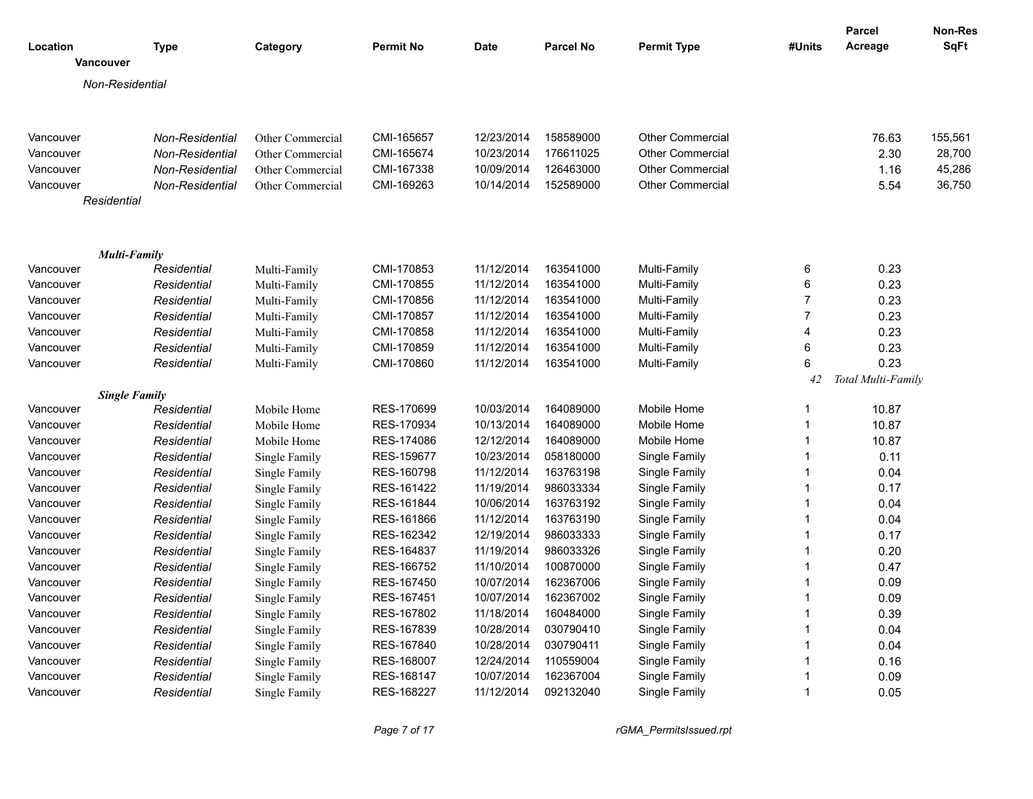|                  |                                     |                            |                  |             |                  |                         |                | <b>Parcel</b>      | Non-Res |
|------------------|-------------------------------------|----------------------------|------------------|-------------|------------------|-------------------------|----------------|--------------------|---------|
| Location         | <b>Type</b>                         | Category                   | <b>Permit No</b> | <b>Date</b> | <b>Parcel No</b> | <b>Permit Type</b>      | #Units         | Acreage            | SqFt    |
| <b>Vancouver</b> |                                     |                            |                  |             |                  |                         |                |                    |         |
|                  | Non-Residential                     |                            |                  |             |                  |                         |                |                    |         |
|                  |                                     |                            |                  |             |                  |                         |                |                    |         |
|                  |                                     |                            |                  |             |                  |                         |                |                    |         |
| Vancouver        | Non-Residential                     | Other Commercial           | CMI-165657       | 12/23/2014  | 158589000        | <b>Other Commercial</b> |                | 76.63              | 155,561 |
| Vancouver        | Non-Residential                     | Other Commercial           | CMI-165674       | 10/23/2014  | 176611025        | <b>Other Commercial</b> |                | 2.30               | 28,700  |
| Vancouver        | Non-Residential                     | Other Commercial           | CMI-167338       | 10/09/2014  | 126463000        | <b>Other Commercial</b> |                | 1.16               | 45,286  |
| Vancouver        | Non-Residential                     | Other Commercial           | CMI-169263       | 10/14/2014  | 152589000        | <b>Other Commercial</b> |                | 5.54               | 36,750  |
| Residential      |                                     |                            |                  |             |                  |                         |                |                    |         |
|                  |                                     |                            |                  |             |                  |                         |                |                    |         |
|                  | <b>Multi-Family</b>                 |                            |                  |             |                  |                         |                |                    |         |
| Vancouver        | Residential                         | Multi-Family               | CMI-170853       | 11/12/2014  | 163541000        | Multi-Family            | 6              | 0.23               |         |
| Vancouver        | Residential                         | Multi-Family               | CMI-170855       | 11/12/2014  | 163541000        | Multi-Family            | 6              | 0.23               |         |
| Vancouver        | Residential                         | Multi-Family               | CMI-170856       | 11/12/2014  | 163541000        | Multi-Family            | $\overline{7}$ | 0.23               |         |
| Vancouver        | Residential                         | Multi-Family               | CMI-170857       | 11/12/2014  | 163541000        | Multi-Family            | $\overline{7}$ | 0.23               |         |
| Vancouver        | Residential                         | Multi-Family               | CMI-170858       | 11/12/2014  | 163541000        | Multi-Family            | 4              | 0.23               |         |
| Vancouver        | Residential                         | Multi-Family               | CMI-170859       | 11/12/2014  | 163541000        | Multi-Family            | 6              | 0.23               |         |
| Vancouver        | Residential                         | Multi-Family               | CMI-170860       | 11/12/2014  | 163541000        | Multi-Family            | 6              | 0.23               |         |
|                  |                                     |                            |                  |             |                  |                         | 42             | Total Multi-Family |         |
| Vancouver        | <b>Single Family</b><br>Residential | Mobile Home                | RES-170699       | 10/03/2014  | 164089000        | Mobile Home             | $\mathbf{1}$   | 10.87              |         |
|                  |                                     |                            | RES-170934       | 10/13/2014  | 164089000        | Mobile Home             | $\mathbf{1}$   |                    |         |
| Vancouver        | Residential<br>Residential          | Mobile Home<br>Mobile Home | RES-174086       | 12/12/2014  | 164089000        | Mobile Home             | $\mathbf{1}$   | 10.87<br>10.87     |         |
| Vancouver        |                                     |                            |                  |             |                  |                         | 1              |                    |         |
| Vancouver        | Residential                         | Single Family              | RES-159677       | 10/23/2014  | 058180000        | Single Family           | $\mathbf{1}$   | 0.11               |         |
| Vancouver        | Residential                         | Single Family              | RES-160798       | 11/12/2014  | 163763198        | Single Family           | $\mathbf{1}$   | 0.04               |         |
| Vancouver        | Residential                         | Single Family              | RES-161422       | 11/19/2014  | 986033334        | Single Family           | $\mathbf{1}$   | 0.17               |         |
| Vancouver        | Residential                         | Single Family              | RES-161844       | 10/06/2014  | 163763192        | Single Family           | $\mathbf{1}$   | 0.04               |         |
| Vancouver        | Residential                         | Single Family              | RES-161866       | 11/12/2014  | 163763190        | Single Family           |                | 0.04               |         |
| Vancouver        | Residential                         | Single Family              | RES-162342       | 12/19/2014  | 986033333        | Single Family           | $\mathbf{1}$   | 0.17               |         |
| Vancouver        | Residential                         | Single Family              | RES-164837       | 11/19/2014  | 986033326        | Single Family           | $\mathbf{1}$   | 0.20               |         |
| Vancouver        | Residential                         | Single Family              | RES-166752       | 11/10/2014  | 100870000        | Single Family           | $\mathbf{1}$   | 0.47               |         |
| Vancouver        | Residential                         | Single Family              | RES-167450       | 10/07/2014  | 162367006        | Single Family           | $\mathbf{1}$   | 0.09               |         |
| Vancouver        | Residential                         | Single Family              | RES-167451       | 10/07/2014  | 162367002        | Single Family           | $\mathbf{1}$   | 0.09               |         |
| Vancouver        | Residential                         | Single Family              | RES-167802       | 11/18/2014  | 160484000        | Single Family           | $\mathbf{1}$   | 0.39               |         |
| Vancouver        | Residential                         | Single Family              | RES-167839       | 10/28/2014  | 030790410        | Single Family           | $\mathbf{1}$   | 0.04               |         |
| Vancouver        | Residential                         | Single Family              | RES-167840       | 10/28/2014  | 030790411        | Single Family           | $\mathbf{1}$   | 0.04               |         |
| Vancouver        | Residential                         | Single Family              | RES-168007       | 12/24/2014  | 110559004        | Single Family           | 1              | 0.16               |         |
| Vancouver        | Residential                         | Single Family              | RES-168147       | 10/07/2014  | 162367004        | Single Family           | 1              | 0.09               |         |
| Vancouver        | Residential                         | Single Family              | RES-168227       | 11/12/2014  | 092132040        | Single Family           | 1              | 0.05               |         |

*Page 7 of 17 rGMA\_PermitsIssued.rpt*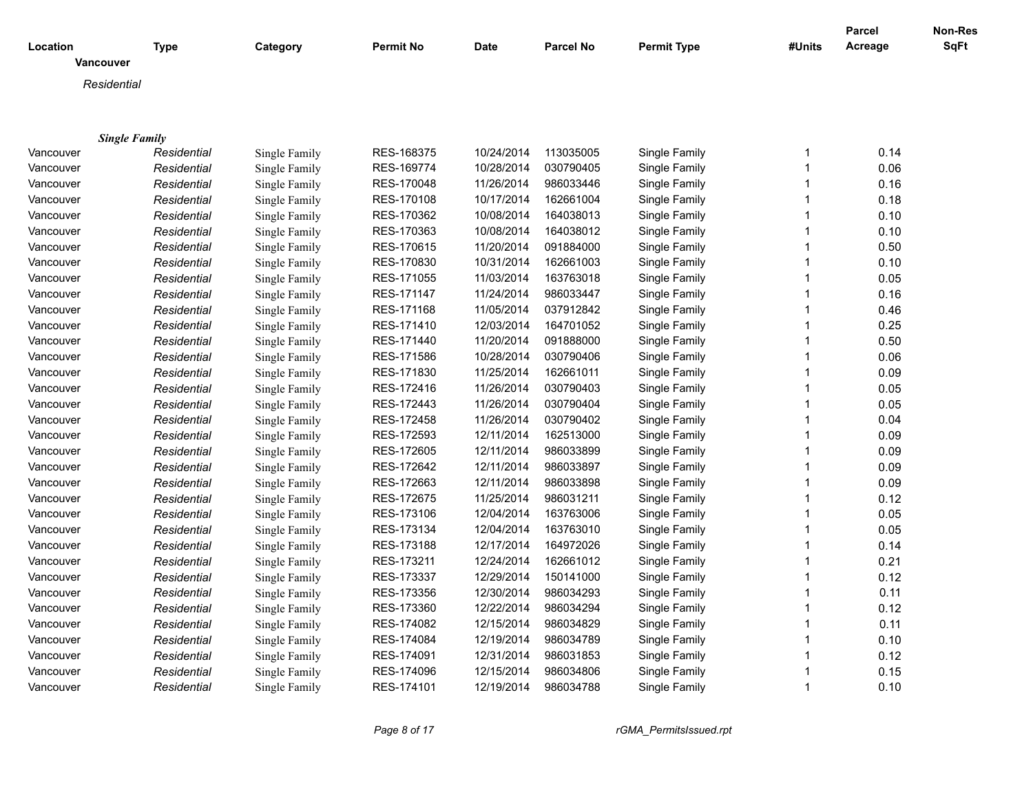| Location             | <b>Type</b> | Category      | <b>Permit No</b> | <b>Date</b> | <b>Parcel No</b> | <b>Permit Type</b> | #Units       | Parcel<br>Acreage | Non-Res<br><b>SqFt</b> |
|----------------------|-------------|---------------|------------------|-------------|------------------|--------------------|--------------|-------------------|------------------------|
| Vancouver            |             |               |                  |             |                  |                    |              |                   |                        |
| Residential          |             |               |                  |             |                  |                    |              |                   |                        |
|                      |             |               |                  |             |                  |                    |              |                   |                        |
|                      |             |               |                  |             |                  |                    |              |                   |                        |
| <b>Single Family</b> |             |               |                  |             |                  |                    |              |                   |                        |
| Vancouver            | Residential | Single Family | RES-168375       | 10/24/2014  | 113035005        | Single Family      | $\mathbf 1$  | 0.14              |                        |
| Vancouver            | Residential | Single Family | RES-169774       | 10/28/2014  | 030790405        | Single Family      | $\mathbf{1}$ | 0.06              |                        |
| Vancouver            | Residential | Single Family | RES-170048       | 11/26/2014  | 986033446        | Single Family      | $\mathbf{1}$ | 0.16              |                        |
| Vancouver            | Residential | Single Family | RES-170108       | 10/17/2014  | 162661004        | Single Family      | $\mathbf{1}$ | 0.18              |                        |
| Vancouver            | Residential | Single Family | RES-170362       | 10/08/2014  | 164038013        | Single Family      | $\mathbf{1}$ | 0.10              |                        |
| Vancouver            | Residential | Single Family | RES-170363       | 10/08/2014  | 164038012        | Single Family      | $\mathbf{1}$ | 0.10              |                        |
| Vancouver            | Residential | Single Family | RES-170615       | 11/20/2014  | 091884000        | Single Family      | $\mathbf{1}$ | 0.50              |                        |
| Vancouver            | Residential | Single Family | RES-170830       | 10/31/2014  | 162661003        | Single Family      | $\mathbf{1}$ | 0.10              |                        |
| Vancouver            | Residential | Single Family | RES-171055       | 11/03/2014  | 163763018        | Single Family      | $\mathbf{1}$ | 0.05              |                        |
| Vancouver            | Residential | Single Family | RES-171147       | 11/24/2014  | 986033447        | Single Family      | $\mathbf{1}$ | 0.16              |                        |
| Vancouver            | Residential | Single Family | RES-171168       | 11/05/2014  | 037912842        | Single Family      | $\mathbf{1}$ | 0.46              |                        |
| Vancouver            | Residential | Single Family | RES-171410       | 12/03/2014  | 164701052        | Single Family      | $\mathbf{1}$ | 0.25              |                        |
| Vancouver            | Residential | Single Family | RES-171440       | 11/20/2014  | 091888000        | Single Family      | $\mathbf{1}$ | 0.50              |                        |
| Vancouver            | Residential | Single Family | RES-171586       | 10/28/2014  | 030790406        | Single Family      | $\mathbf{1}$ | 0.06              |                        |
| Vancouver            | Residential | Single Family | RES-171830       | 11/25/2014  | 162661011        | Single Family      | $\mathbf{1}$ | 0.09              |                        |
| Vancouver            | Residential | Single Family | RES-172416       | 11/26/2014  | 030790403        | Single Family      | $\mathbf{1}$ | 0.05              |                        |
| Vancouver            | Residential | Single Family | RES-172443       | 11/26/2014  | 030790404        | Single Family      | $\mathbf{1}$ | 0.05              |                        |
| Vancouver            | Residential | Single Family | RES-172458       | 11/26/2014  | 030790402        | Single Family      | $\mathbf{1}$ | 0.04              |                        |
| Vancouver            | Residential | Single Family | RES-172593       | 12/11/2014  | 162513000        | Single Family      | $\mathbf{1}$ | 0.09              |                        |
| Vancouver            | Residential | Single Family | RES-172605       | 12/11/2014  | 986033899        | Single Family      | $\mathbf{1}$ | 0.09              |                        |
| Vancouver            | Residential | Single Family | RES-172642       | 12/11/2014  | 986033897        | Single Family      | $\mathbf{1}$ | 0.09              |                        |
| Vancouver            | Residential | Single Family | RES-172663       | 12/11/2014  | 986033898        | Single Family      | $\mathbf{1}$ | 0.09              |                        |
| Vancouver            | Residential | Single Family | RES-172675       | 11/25/2014  | 986031211        | Single Family      | $\mathbf{1}$ | 0.12              |                        |
| Vancouver            | Residential | Single Family | RES-173106       | 12/04/2014  | 163763006        | Single Family      | $\mathbf{1}$ | 0.05              |                        |
| Vancouver            | Residential | Single Family | RES-173134       | 12/04/2014  | 163763010        | Single Family      | $\mathbf{1}$ | 0.05              |                        |
| Vancouver            | Residential | Single Family | RES-173188       | 12/17/2014  | 164972026        | Single Family      | $\mathbf{1}$ | 0.14              |                        |
| Vancouver            | Residential | Single Family | RES-173211       | 12/24/2014  | 162661012        | Single Family      | $\mathbf{1}$ | 0.21              |                        |
| Vancouver            | Residential | Single Family | RES-173337       | 12/29/2014  | 150141000        | Single Family      | 1            | 0.12              |                        |
| Vancouver            | Residential | Single Family | RES-173356       | 12/30/2014  | 986034293        | Single Family      | $\mathbf{1}$ | 0.11              |                        |
| Vancouver            | Residential | Single Family | RES-173360       | 12/22/2014  | 986034294        | Single Family      | $\mathbf{1}$ | 0.12              |                        |
| Vancouver            | Residential | Single Family | RES-174082       | 12/15/2014  | 986034829        | Single Family      | $\mathbf{1}$ | 0.11              |                        |
| Vancouver            | Residential | Single Family | RES-174084       | 12/19/2014  | 986034789        | Single Family      | $\mathbf{1}$ | 0.10              |                        |
| Vancouver            | Residential | Single Family | RES-174091       | 12/31/2014  | 986031853        | Single Family      | $\mathbf{1}$ | 0.12              |                        |
| Vancouver            | Residential | Single Family | RES-174096       | 12/15/2014  | 986034806        | Single Family      | $\mathbf{1}$ | 0.15              |                        |
| Vancouver            | Residential | Single Family | RES-174101       | 12/19/2014  | 986034788        | Single Family      | $\mathbf{1}$ | 0.10              |                        |

*Page 8 of 17 rGMA\_PermitsIssued.rpt*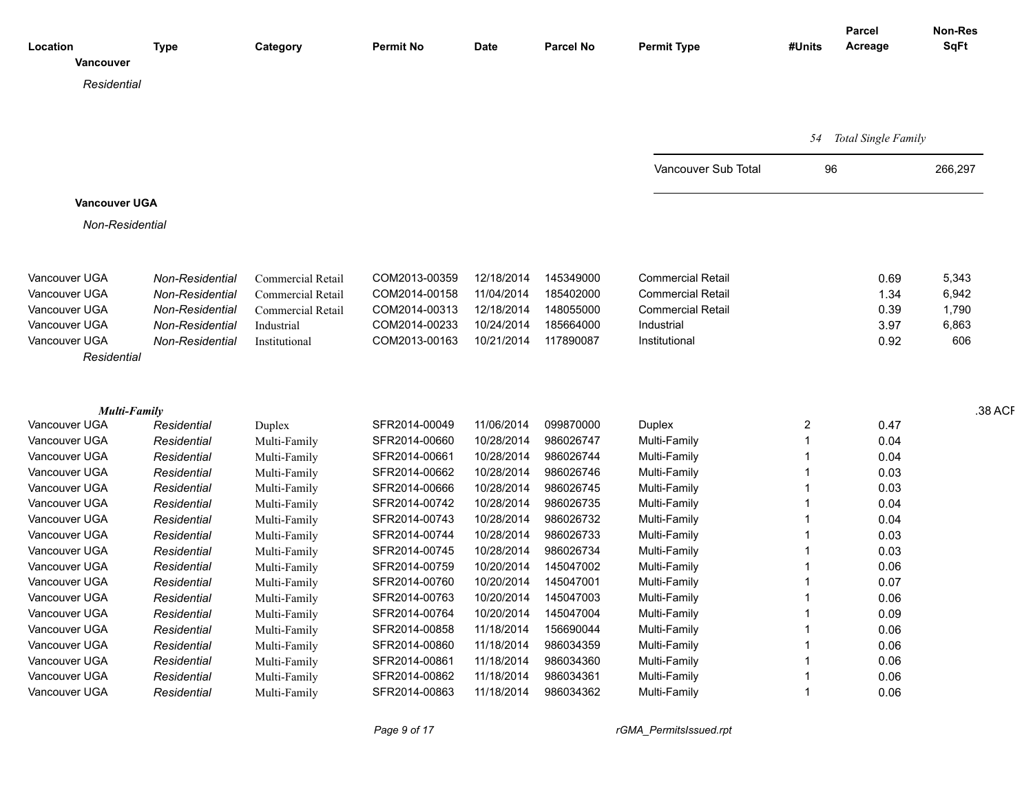|                      |                 |                   |                  |             |                  |                          |        | Parcel                 | Non-Res |
|----------------------|-----------------|-------------------|------------------|-------------|------------------|--------------------------|--------|------------------------|---------|
| Location             | <b>Type</b>     | Category          | <b>Permit No</b> | <b>Date</b> | <b>Parcel No</b> | <b>Permit Type</b>       | #Units | Acreage                | SqFt    |
| Vancouver            |                 |                   |                  |             |                  |                          |        |                        |         |
| Residential          |                 |                   |                  |             |                  |                          |        |                        |         |
|                      |                 |                   |                  |             |                  |                          |        |                        |         |
|                      |                 |                   |                  |             |                  |                          |        |                        |         |
|                      |                 |                   |                  |             |                  |                          |        | 54 Total Single Family |         |
|                      |                 |                   |                  |             |                  | Vancouver Sub Total      |        | 96                     | 266,297 |
|                      |                 |                   |                  |             |                  |                          |        |                        |         |
| <b>Vancouver UGA</b> |                 |                   |                  |             |                  |                          |        |                        |         |
| Non-Residential      |                 |                   |                  |             |                  |                          |        |                        |         |
|                      |                 |                   |                  |             |                  |                          |        |                        |         |
|                      |                 |                   |                  |             |                  |                          |        |                        |         |
| Vancouver UGA        | Non-Residential | Commercial Retail | COM2013-00359    | 12/18/2014  | 145349000        | <b>Commercial Retail</b> |        | 0.69                   | 5,343   |
| Vancouver UGA        | Non-Residential | Commercial Retail | COM2014-00158    | 11/04/2014  | 185402000        | <b>Commercial Retail</b> |        | 1.34                   | 6,942   |
| Vancouver UGA        | Non-Residential | Commercial Retail | COM2014-00313    | 12/18/2014  | 148055000        | <b>Commercial Retail</b> |        | 0.39                   | 1,790   |
| Vancouver UGA        | Non-Residential | Industrial        | COM2014-00233    | 10/24/2014  | 185664000        | Industrial               |        | 3.97                   | 6,863   |
| Vancouver UGA        | Non-Residential | Institutional     | COM2013-00163    | 10/21/2014  | 117890087        | Institutional            |        | 0.92                   | 606     |
| Residential          |                 |                   |                  |             |                  |                          |        |                        |         |
|                      |                 |                   |                  |             |                  |                          |        |                        |         |
|                      |                 |                   |                  |             |                  |                          |        |                        |         |
| Multi-Family         |                 |                   |                  |             |                  |                          |        |                        | .38 ACF |
| Vancouver UGA        | Residential     | Duplex            | SFR2014-00049    | 11/06/2014  | 099870000        | Duplex                   | 2      | 0.47                   |         |
| Vancouver UGA        | Residential     | Multi-Family      | SFR2014-00660    | 10/28/2014  | 986026747        | Multi-Family             |        | 0.04                   |         |
| Vancouver UGA        | Residential     | Multi-Family      | SFR2014-00661    | 10/28/2014  | 986026744        | Multi-Family             |        | 0.04                   |         |
| Vancouver UGA        | Residential     | Multi-Family      | SFR2014-00662    | 10/28/2014  | 986026746        | Multi-Family             |        | 0.03                   |         |
| Vancouver UGA        | Residential     | Multi-Family      | SFR2014-00666    | 10/28/2014  | 986026745        | Multi-Family             |        | 0.03                   |         |
| Vancouver UGA        | Residential     | Multi-Family      | SFR2014-00742    | 10/28/2014  | 986026735        | Multi-Family             |        | 0.04                   |         |
| Vancouver UGA        | Residential     | Multi-Family      | SFR2014-00743    | 10/28/2014  | 986026732        | Multi-Family             |        | 0.04                   |         |
| Vancouver UGA        | Residential     | Multi-Family      | SFR2014-00744    | 10/28/2014  | 986026733        | Multi-Family             |        | 0.03                   |         |
| Vancouver UGA        | Residential     | Multi-Family      | SFR2014-00745    | 10/28/2014  | 986026734        | Multi-Family             |        | 0.03                   |         |
| Vancouver UGA        | Residential     | Multi-Family      | SFR2014-00759    | 10/20/2014  | 145047002        | Multi-Family             |        | 0.06                   |         |
| Vancouver UGA        | Residential     | Multi-Family      | SFR2014-00760    | 10/20/2014  | 145047001        | Multi-Family             |        | 0.07                   |         |
| Vancouver UGA        | Residential     | Multi-Family      | SFR2014-00763    | 10/20/2014  | 145047003        | Multi-Family             |        | 0.06                   |         |
| Vancouver UGA        | Residential     | Multi-Family      | SFR2014-00764    | 10/20/2014  | 145047004        | Multi-Family             |        | 0.09                   |         |
| Vancouver UGA        | Residential     | Multi-Family      | SFR2014-00858    | 11/18/2014  | 156690044        | Multi-Family             |        | 0.06                   |         |
| Vancouver UGA        | Residential     | Multi-Family      | SFR2014-00860    | 11/18/2014  | 986034359        | Multi-Family             |        | 0.06                   |         |
| Vancouver UGA        | Residential     | Multi-Family      | SFR2014-00861    | 11/18/2014  | 986034360        | Multi-Family             |        | 0.06                   |         |
| Vancouver UGA        | Residential     | Multi-Family      | SFR2014-00862    | 11/18/2014  | 98603436         | Multi-Family             |        | 0.06                   |         |
| Vancouver UGA        | Residential     | Multi-Family      | SFR2014-00863    | 11/18/2014  | 986034362        | Multi-Family             |        | 0.06                   |         |
|                      |                 |                   |                  |             |                  |                          |        |                        |         |

*Page 9 of 17 rGMA\_PermitsIssued.rpt*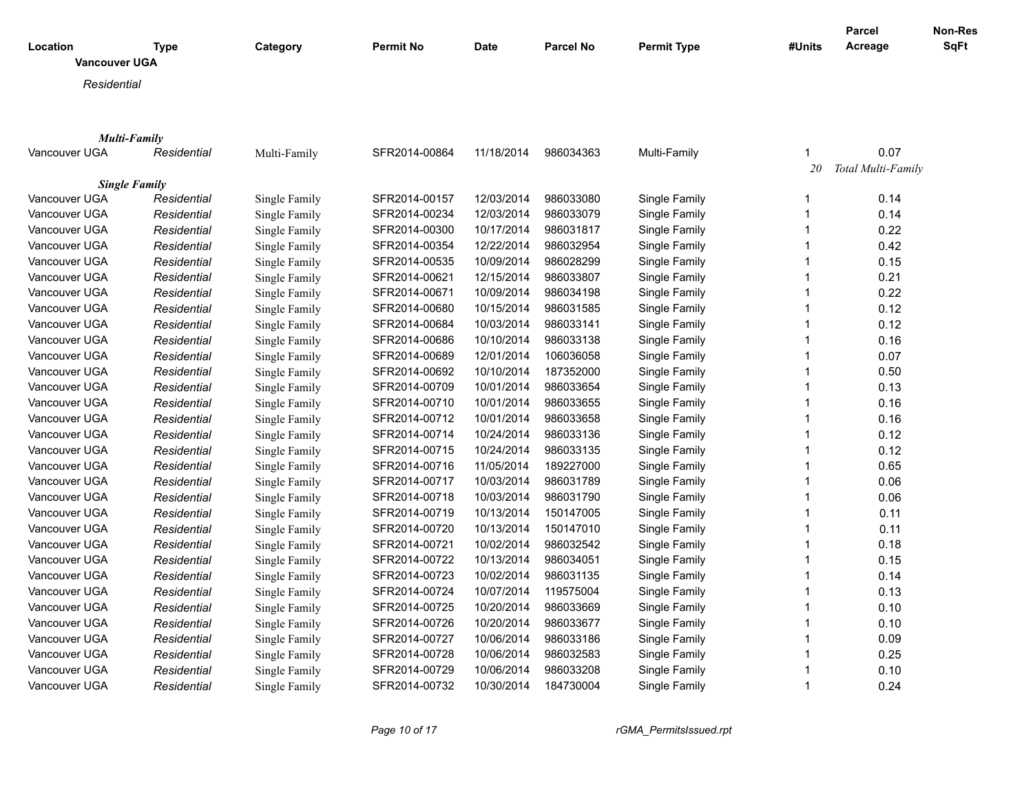|                      |             |               |                  |             |                  |                    |        | Parcel             | Non-Res |
|----------------------|-------------|---------------|------------------|-------------|------------------|--------------------|--------|--------------------|---------|
| Location             | <b>Type</b> | Category      | <b>Permit No</b> | <b>Date</b> | <b>Parcel No</b> | <b>Permit Type</b> | #Units | Acreage            | SqFt    |
| Vancouver UGA        |             |               |                  |             |                  |                    |        |                    |         |
| Residential          |             |               |                  |             |                  |                    |        |                    |         |
|                      |             |               |                  |             |                  |                    |        |                    |         |
|                      |             |               |                  |             |                  |                    |        |                    |         |
| <b>Multi-Family</b>  |             |               |                  |             |                  |                    |        |                    |         |
| Vancouver UGA        | Residential | Multi-Family  | SFR2014-00864    | 11/18/2014  | 986034363        | Multi-Family       | 1      | 0.07               |         |
|                      |             |               |                  |             |                  |                    | 20     | Total Multi-Family |         |
| <b>Single Family</b> |             |               |                  |             |                  |                    |        |                    |         |
| Vancouver UGA        | Residential | Single Family | SFR2014-00157    | 12/03/2014  | 986033080        | Single Family      | 1      | 0.14               |         |
| Vancouver UGA        | Residential | Single Family | SFR2014-00234    | 12/03/2014  | 986033079        | Single Family      | 1      | 0.14               |         |
| Vancouver UGA        | Residential | Single Family | SFR2014-00300    | 10/17/2014  | 986031817        | Single Family      | 1      | 0.22               |         |
| Vancouver UGA        | Residential | Single Family | SFR2014-00354    | 12/22/2014  | 986032954        | Single Family      | 1      | 0.42               |         |
| Vancouver UGA        | Residential | Single Family | SFR2014-00535    | 10/09/2014  | 986028299        | Single Family      |        | 0.15               |         |
| Vancouver UGA        | Residential | Single Family | SFR2014-00621    | 12/15/2014  | 986033807        | Single Family      | 1      | 0.21               |         |
| Vancouver UGA        | Residential | Single Family | SFR2014-00671    | 10/09/2014  | 986034198        | Single Family      |        | 0.22               |         |
| Vancouver UGA        | Residential | Single Family | SFR2014-00680    | 10/15/2014  | 986031585        | Single Family      | 1      | 0.12               |         |
| Vancouver UGA        | Residential | Single Family | SFR2014-00684    | 10/03/2014  | 986033141        | Single Family      | 1      | 0.12               |         |
| Vancouver UGA        | Residential | Single Family | SFR2014-00686    | 10/10/2014  | 986033138        | Single Family      | 1      | 0.16               |         |
| Vancouver UGA        | Residential | Single Family | SFR2014-00689    | 12/01/2014  | 106036058        | Single Family      |        | 0.07               |         |
| Vancouver UGA        | Residential | Single Family | SFR2014-00692    | 10/10/2014  | 187352000        | Single Family      | 1      | 0.50               |         |
| Vancouver UGA        | Residential | Single Family | SFR2014-00709    | 10/01/2014  | 986033654        | Single Family      | 1      | 0.13               |         |
| Vancouver UGA        | Residential | Single Family | SFR2014-00710    | 10/01/2014  | 986033655        | Single Family      | 1      | 0.16               |         |
| Vancouver UGA        | Residential | Single Family | SFR2014-00712    | 10/01/2014  | 986033658        | Single Family      |        | 0.16               |         |
| Vancouver UGA        | Residential | Single Family | SFR2014-00714    | 10/24/2014  | 986033136        | Single Family      | 1      | 0.12               |         |
| Vancouver UGA        | Residential | Single Family | SFR2014-00715    | 10/24/2014  | 986033135        | Single Family      |        | 0.12               |         |
| Vancouver UGA        | Residential | Single Family | SFR2014-00716    | 11/05/2014  | 189227000        | Single Family      | 1      | 0.65               |         |
| Vancouver UGA        | Residential | Single Family | SFR2014-00717    | 10/03/2014  | 986031789        | Single Family      |        | 0.06               |         |
| Vancouver UGA        | Residential | Single Family | SFR2014-00718    | 10/03/2014  | 986031790        | Single Family      | 1      | 0.06               |         |
| Vancouver UGA        | Residential | Single Family | SFR2014-00719    | 10/13/2014  | 150147005        | Single Family      |        | 0.11               |         |
| Vancouver UGA        | Residential | Single Family | SFR2014-00720    | 10/13/2014  | 150147010        | Single Family      | 1      | 0.11               |         |
| Vancouver UGA        | Residential | Single Family | SFR2014-00721    | 10/02/2014  | 986032542        | Single Family      |        | 0.18               |         |
| Vancouver UGA        | Residential | Single Family | SFR2014-00722    | 10/13/2014  | 986034051        | Single Family      | 1      | 0.15               |         |
| Vancouver UGA        | Residential | Single Family | SFR2014-00723    | 10/02/2014  | 986031135        | Single Family      |        | 0.14               |         |
| Vancouver UGA        | Residential | Single Family | SFR2014-00724    | 10/07/2014  | 119575004        | Single Family      | 1      | 0.13               |         |
| Vancouver UGA        | Residential | Single Family | SFR2014-00725    | 10/20/2014  | 986033669        | Single Family      |        | 0.10               |         |
| Vancouver UGA        | Residential | Single Family | SFR2014-00726    | 10/20/2014  | 986033677        | Single Family      | 1      | 0.10               |         |
| Vancouver UGA        | Residential | Single Family | SFR2014-00727    | 10/06/2014  | 986033186        | Single Family      | 1      | 0.09               |         |
| Vancouver UGA        | Residential | Single Family | SFR2014-00728    | 10/06/2014  | 986032583        | Single Family      | 1      | 0.25               |         |
| Vancouver UGA        | Residential | Single Family | SFR2014-00729    | 10/06/2014  | 986033208        | Single Family      |        | 0.10               |         |
| Vancouver UGA        | Residential | Single Family | SFR2014-00732    | 10/30/2014  | 184730004        | Single Family      | 1      | 0.24               |         |

*Page 10 of 17 rGMA\_PermitsIssued.rpt*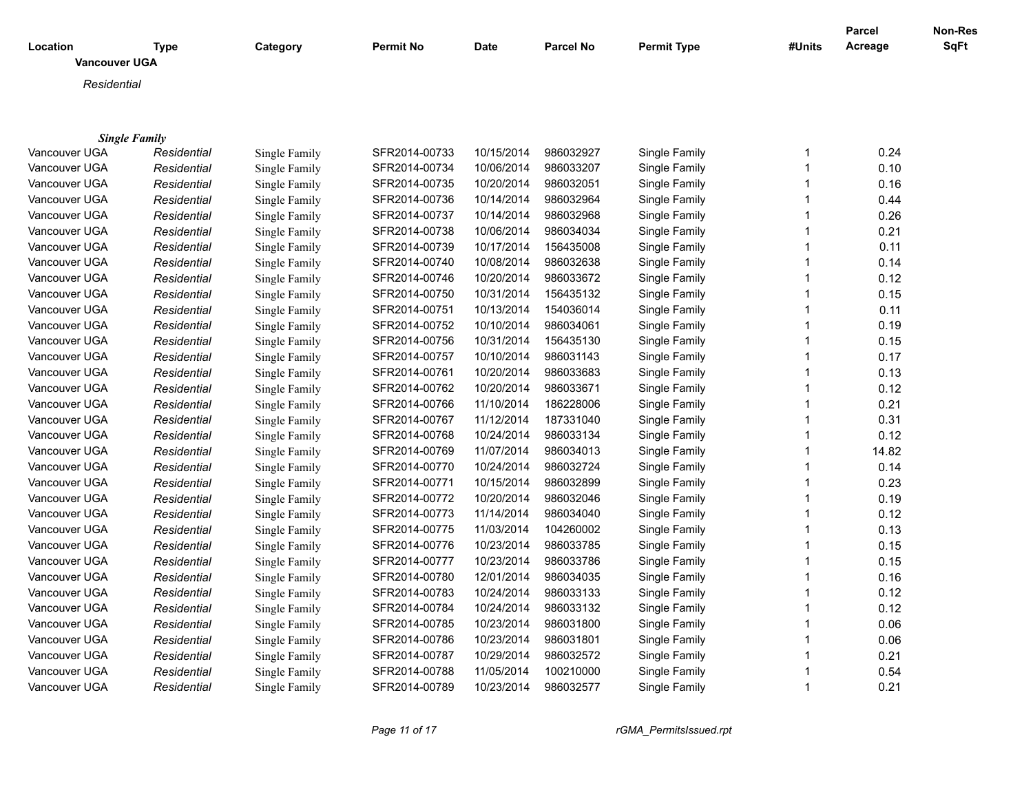|                                  |             |               |               |            |                  |                    |              | Parcel  | Non-Res |
|----------------------------------|-------------|---------------|---------------|------------|------------------|--------------------|--------------|---------|---------|
| Location<br><b>Vancouver UGA</b> | <b>Type</b> | Category      | Permit No     | Date       | <b>Parcel No</b> | <b>Permit Type</b> | #Units       | Acreage | SqFt    |
|                                  |             |               |               |            |                  |                    |              |         |         |
| Residential                      |             |               |               |            |                  |                    |              |         |         |
|                                  |             |               |               |            |                  |                    |              |         |         |
| <b>Single Family</b>             |             |               |               |            |                  |                    |              |         |         |
| Vancouver UGA                    | Residential | Single Family | SFR2014-00733 | 10/15/2014 | 986032927        | Single Family      | 1            | 0.24    |         |
| Vancouver UGA                    | Residential | Single Family | SFR2014-00734 | 10/06/2014 | 986033207        | Single Family      | $\mathbf{1}$ | 0.10    |         |
| Vancouver UGA                    | Residential | Single Family | SFR2014-00735 | 10/20/2014 | 986032051        | Single Family      | $\mathbf{1}$ | 0.16    |         |
| Vancouver UGA                    | Residential | Single Family | SFR2014-00736 | 10/14/2014 | 986032964        | Single Family      | $\mathbf{1}$ | 0.44    |         |
| Vancouver UGA                    | Residential | Single Family | SFR2014-00737 | 10/14/2014 | 986032968        | Single Family      | $\mathbf{1}$ | 0.26    |         |
| Vancouver UGA                    | Residential | Single Family | SFR2014-00738 | 10/06/2014 | 986034034        | Single Family      | 1            | 0.21    |         |
| Vancouver UGA                    | Residential | Single Family | SFR2014-00739 | 10/17/2014 | 156435008        | Single Family      | $\mathbf{1}$ | 0.11    |         |
| Vancouver UGA                    | Residential | Single Family | SFR2014-00740 | 10/08/2014 | 986032638        | Single Family      | $\mathbf{1}$ | 0.14    |         |
| Vancouver UGA                    | Residential | Single Family | SFR2014-00746 | 10/20/2014 | 986033672        | Single Family      | $\mathbf{1}$ | 0.12    |         |
| Vancouver UGA                    | Residential | Single Family | SFR2014-00750 | 10/31/2014 | 156435132        | Single Family      | $\mathbf{1}$ | 0.15    |         |
| Vancouver UGA                    | Residential | Single Family | SFR2014-00751 | 10/13/2014 | 154036014        | Single Family      | $\mathbf{1}$ | 0.11    |         |
| Vancouver UGA                    | Residential | Single Family | SFR2014-00752 | 10/10/2014 | 986034061        | Single Family      | $\mathbf{1}$ | 0.19    |         |
| Vancouver UGA                    | Residential | Single Family | SFR2014-00756 | 10/31/2014 | 156435130        | Single Family      | $\mathbf{1}$ | 0.15    |         |
| Vancouver UGA                    | Residential | Single Family | SFR2014-00757 | 10/10/2014 | 986031143        | Single Family      | 1            | 0.17    |         |
| Vancouver UGA                    | Residential | Single Family | SFR2014-00761 | 10/20/2014 | 986033683        | Single Family      | $\mathbf{1}$ | 0.13    |         |
| Vancouver UGA                    | Residential | Single Family | SFR2014-00762 | 10/20/2014 | 986033671        | Single Family      | $\mathbf{1}$ | 0.12    |         |
| Vancouver UGA                    | Residential | Single Family | SFR2014-00766 | 11/10/2014 | 186228006        | Single Family      | $\mathbf{1}$ | 0.21    |         |
| Vancouver UGA                    | Residential | Single Family | SFR2014-00767 | 11/12/2014 | 187331040        | Single Family      | $\mathbf{1}$ | 0.31    |         |
| Vancouver UGA                    | Residential | Single Family | SFR2014-00768 | 10/24/2014 | 986033134        | Single Family      | $\mathbf{1}$ | 0.12    |         |
| Vancouver UGA                    | Residential | Single Family | SFR2014-00769 | 11/07/2014 | 986034013        | Single Family      | $\mathbf{1}$ | 14.82   |         |
| Vancouver UGA                    | Residential | Single Family | SFR2014-00770 | 10/24/2014 | 986032724        | Single Family      | $\mathbf{1}$ | 0.14    |         |
| Vancouver UGA                    | Residential | Single Family | SFR2014-00771 | 10/15/2014 | 986032899        | Single Family      | $\mathbf{1}$ | 0.23    |         |
| Vancouver UGA                    | Residential | Single Family | SFR2014-00772 | 10/20/2014 | 986032046        | Single Family      | $\mathbf{1}$ | 0.19    |         |
| Vancouver UGA                    | Residential | Single Family | SFR2014-00773 | 11/14/2014 | 986034040        | Single Family      | $\mathbf{1}$ | 0.12    |         |
| Vancouver UGA                    | Residential | Single Family | SFR2014-00775 | 11/03/2014 | 104260002        | Single Family      | $\mathbf{1}$ | 0.13    |         |
| Vancouver UGA                    | Residential | Single Family | SFR2014-00776 | 10/23/2014 | 986033785        | Single Family      | $\mathbf{1}$ | 0.15    |         |
| Vancouver UGA                    | Residential | Single Family | SFR2014-00777 | 10/23/2014 | 986033786        | Single Family      | $\mathbf{1}$ | 0.15    |         |
| Vancouver UGA                    | Residential | Single Family | SFR2014-00780 | 12/01/2014 | 986034035        | Single Family      | $\mathbf{1}$ | 0.16    |         |
| Vancouver UGA                    | Residential | Single Family | SFR2014-00783 | 10/24/2014 | 986033133        | Single Family      | $\mathbf{1}$ | 0.12    |         |
| Vancouver UGA                    | Residential | Single Family | SFR2014-00784 | 10/24/2014 | 986033132        | Single Family      | $\mathbf{1}$ | 0.12    |         |
| Vancouver UGA                    | Residential | Single Family | SFR2014-00785 | 10/23/2014 | 986031800        | Single Family      | 1            | 0.06    |         |
| Vancouver UGA                    | Residential | Single Family | SFR2014-00786 | 10/23/2014 | 986031801        | Single Family      | $\mathbf{1}$ | 0.06    |         |
| Vancouver UGA                    | Residential | Single Family | SFR2014-00787 | 10/29/2014 | 986032572        | Single Family      | $\mathbf 1$  | 0.21    |         |
| Vancouver UGA                    | Residential | Single Family | SFR2014-00788 | 11/05/2014 | 100210000        | Single Family      | 1            | 0.54    |         |
| Vancouver UGA                    | Residential | Single Family | SFR2014-00789 | 10/23/2014 | 986032577        | Single Family      | $\mathbf{1}$ | 0.21    |         |

*Page 11 of 17 rGMA\_PermitsIssued.rpt*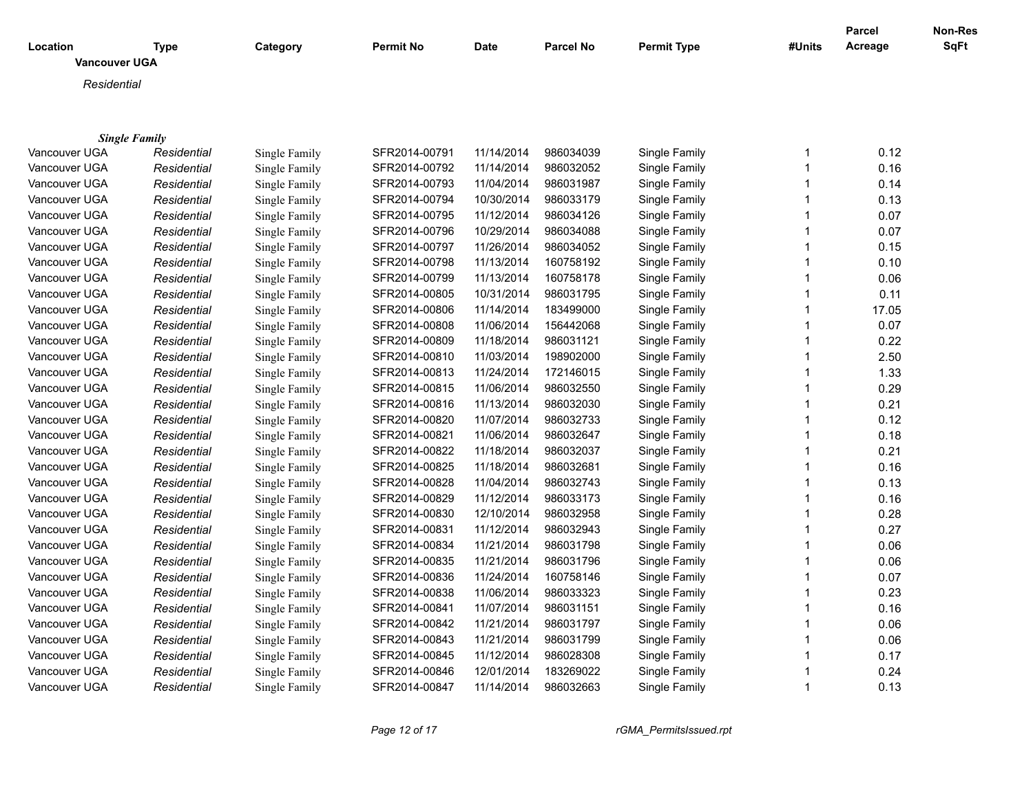|                                  |                      |               |               |            |                  |                    |              | Parcel  | Non-Res |
|----------------------------------|----------------------|---------------|---------------|------------|------------------|--------------------|--------------|---------|---------|
| Location<br><b>Vancouver UGA</b> | <b>Type</b>          | Category      | Permit No     | Date       | <b>Parcel No</b> | <b>Permit Type</b> | #Units       | Acreage | SqFt    |
|                                  |                      |               |               |            |                  |                    |              |         |         |
| Residential                      |                      |               |               |            |                  |                    |              |         |         |
|                                  |                      |               |               |            |                  |                    |              |         |         |
|                                  | <b>Single Family</b> |               |               |            |                  |                    |              |         |         |
| Vancouver UGA                    | Residential          | Single Family | SFR2014-00791 | 11/14/2014 | 986034039        | Single Family      | 1            | 0.12    |         |
| Vancouver UGA                    | Residential          | Single Family | SFR2014-00792 | 11/14/2014 | 986032052        | Single Family      | $\mathbf{1}$ | 0.16    |         |
| Vancouver UGA                    | Residential          | Single Family | SFR2014-00793 | 11/04/2014 | 986031987        | Single Family      | $\mathbf{1}$ | 0.14    |         |
| Vancouver UGA                    | Residential          | Single Family | SFR2014-00794 | 10/30/2014 | 986033179        | Single Family      | $\mathbf{1}$ | 0.13    |         |
| Vancouver UGA                    | Residential          | Single Family | SFR2014-00795 | 11/12/2014 | 986034126        | Single Family      | $\mathbf{1}$ | 0.07    |         |
| Vancouver UGA                    | Residential          | Single Family | SFR2014-00796 | 10/29/2014 | 986034088        | Single Family      | 1            | 0.07    |         |
| Vancouver UGA                    | Residential          | Single Family | SFR2014-00797 | 11/26/2014 | 986034052        | Single Family      | $\mathbf{1}$ | 0.15    |         |
| Vancouver UGA                    | Residential          | Single Family | SFR2014-00798 | 11/13/2014 | 160758192        | Single Family      | $\mathbf{1}$ | 0.10    |         |
| Vancouver UGA                    | Residential          | Single Family | SFR2014-00799 | 11/13/2014 | 160758178        | Single Family      | $\mathbf{1}$ | 0.06    |         |
| Vancouver UGA                    | Residential          | Single Family | SFR2014-00805 | 10/31/2014 | 986031795        | Single Family      | $\mathbf{1}$ | 0.11    |         |
| Vancouver UGA                    | Residential          | Single Family | SFR2014-00806 | 11/14/2014 | 183499000        | Single Family      | $\mathbf{1}$ | 17.05   |         |
| Vancouver UGA                    | Residential          | Single Family | SFR2014-00808 | 11/06/2014 | 156442068        | Single Family      | $\mathbf{1}$ | 0.07    |         |
| Vancouver UGA                    | Residential          | Single Family | SFR2014-00809 | 11/18/2014 | 986031121        | Single Family      | $\mathbf{1}$ | 0.22    |         |
| Vancouver UGA                    | Residential          | Single Family | SFR2014-00810 | 11/03/2014 | 198902000        | Single Family      | 1            | 2.50    |         |
| Vancouver UGA                    | Residential          | Single Family | SFR2014-00813 | 11/24/2014 | 172146015        | Single Family      | $\mathbf 1$  | 1.33    |         |
| Vancouver UGA                    | Residential          | Single Family | SFR2014-00815 | 11/06/2014 | 986032550        | Single Family      | $\mathbf 1$  | 0.29    |         |
| Vancouver UGA                    | Residential          | Single Family | SFR2014-00816 | 11/13/2014 | 986032030        | Single Family      | $\mathbf{1}$ | 0.21    |         |
| Vancouver UGA                    | Residential          | Single Family | SFR2014-00820 | 11/07/2014 | 986032733        | Single Family      | $\mathbf{1}$ | 0.12    |         |
| Vancouver UGA                    | Residential          | Single Family | SFR2014-00821 | 11/06/2014 | 986032647        | Single Family      | $\mathbf{1}$ | 0.18    |         |
| Vancouver UGA                    | Residential          | Single Family | SFR2014-00822 | 11/18/2014 | 986032037        | Single Family      | $\mathbf{1}$ | 0.21    |         |
| Vancouver UGA                    | Residential          | Single Family | SFR2014-00825 | 11/18/2014 | 986032681        | Single Family      | $\mathbf{1}$ | 0.16    |         |
| Vancouver UGA                    | Residential          | Single Family | SFR2014-00828 | 11/04/2014 | 986032743        | Single Family      | $\mathbf{1}$ | 0.13    |         |
| Vancouver UGA                    | Residential          | Single Family | SFR2014-00829 | 11/12/2014 | 986033173        | Single Family      | $\mathbf{1}$ | 0.16    |         |
| Vancouver UGA                    | Residential          | Single Family | SFR2014-00830 | 12/10/2014 | 986032958        | Single Family      | $\mathbf{1}$ | 0.28    |         |
| Vancouver UGA                    | Residential          | Single Family | SFR2014-00831 | 11/12/2014 | 986032943        | Single Family      | $\mathbf{1}$ | 0.27    |         |
| Vancouver UGA                    | Residential          | Single Family | SFR2014-00834 | 11/21/2014 | 986031798        | Single Family      | $\mathbf{1}$ | 0.06    |         |
| Vancouver UGA                    | Residential          | Single Family | SFR2014-00835 | 11/21/2014 | 986031796        | Single Family      | $\mathbf{1}$ | 0.06    |         |
| Vancouver UGA                    | Residential          | Single Family | SFR2014-00836 | 11/24/2014 | 160758146        | Single Family      | $\mathbf{1}$ | 0.07    |         |
| Vancouver UGA                    | Residential          | Single Family | SFR2014-00838 | 11/06/2014 | 986033323        | Single Family      | $\mathbf{1}$ | 0.23    |         |
| Vancouver UGA                    | Residential          | Single Family | SFR2014-00841 | 11/07/2014 | 986031151        | Single Family      | $\mathbf{1}$ | 0.16    |         |
| Vancouver UGA                    | Residential          | Single Family | SFR2014-00842 | 11/21/2014 | 986031797        | Single Family      | 1            | 0.06    |         |
| Vancouver UGA                    | Residential          | Single Family | SFR2014-00843 | 11/21/2014 | 986031799        | Single Family      | $\mathbf{1}$ | 0.06    |         |
| Vancouver UGA                    | Residential          | Single Family | SFR2014-00845 | 11/12/2014 | 986028308        | Single Family      | $\mathbf{1}$ | 0.17    |         |
| Vancouver UGA                    | Residential          | Single Family | SFR2014-00846 | 12/01/2014 | 183269022        | Single Family      | 1            | 0.24    |         |
| Vancouver UGA                    | Residential          | Single Family | SFR2014-00847 | 11/14/2014 | 986032663        | Single Family      | $\mathbf{1}$ | 0.13    |         |

*Page 12 of 17 rGMA\_PermitsIssued.rpt*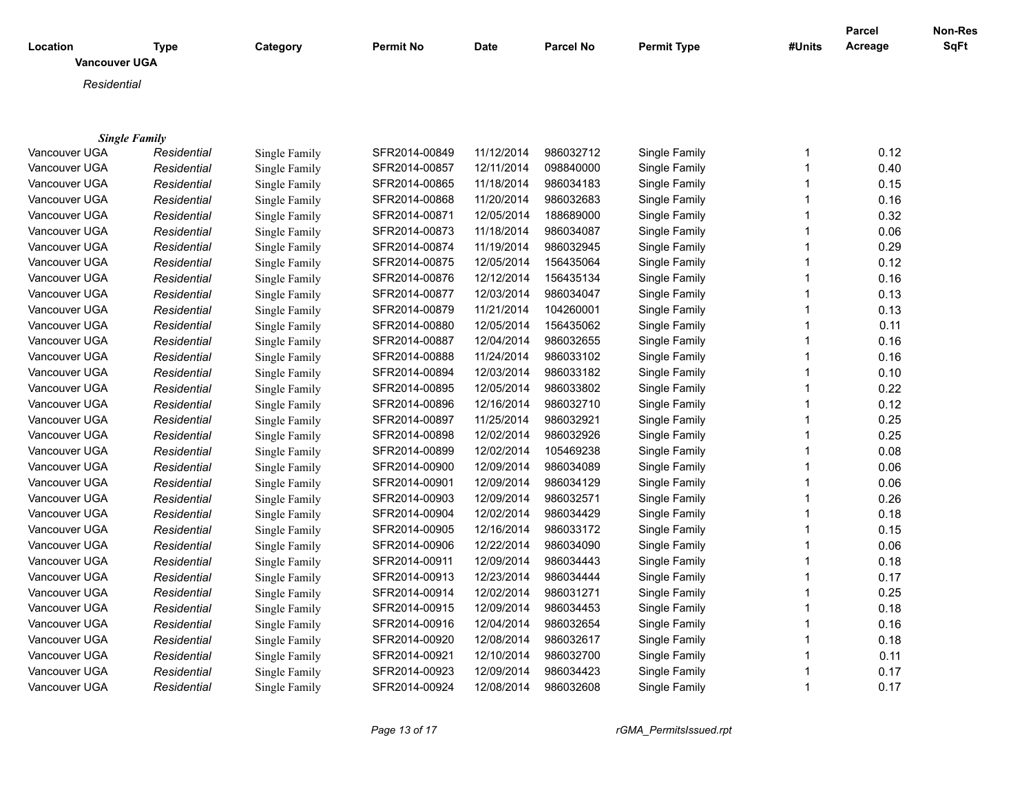|                      |             |               |                  |             |           |                    |              | <b>Parcel</b> | <b>Non-Res</b> |
|----------------------|-------------|---------------|------------------|-------------|-----------|--------------------|--------------|---------------|----------------|
| Location             | <b>Type</b> | Category      | <b>Permit No</b> | <b>Date</b> | Parcel No | <b>Permit Type</b> | #Units       | Acreage       | SqFt           |
| <b>Vancouver UGA</b> |             |               |                  |             |           |                    |              |               |                |
| Residential          |             |               |                  |             |           |                    |              |               |                |
|                      |             |               |                  |             |           |                    |              |               |                |
|                      |             |               |                  |             |           |                    |              |               |                |
| <b>Single Family</b> |             |               |                  |             |           |                    |              |               |                |
| Vancouver UGA        | Residential | Single Family | SFR2014-00849    | 11/12/2014  | 986032712 | Single Family      | $\mathbf 1$  | 0.12          |                |
| Vancouver UGA        | Residential | Single Family | SFR2014-00857    | 12/11/2014  | 098840000 | Single Family      | 1            | 0.40          |                |
| Vancouver UGA        | Residential | Single Family | SFR2014-00865    | 11/18/2014  | 986034183 | Single Family      | 1            | 0.15          |                |
| Vancouver UGA        | Residential | Single Family | SFR2014-00868    | 11/20/2014  | 986032683 | Single Family      | 1            | 0.16          |                |
| Vancouver UGA        | Residential | Single Family | SFR2014-00871    | 12/05/2014  | 188689000 | Single Family      | 1            | 0.32          |                |
| Vancouver UGA        | Residential | Single Family | SFR2014-00873    | 11/18/2014  | 986034087 | Single Family      | 1            | 0.06          |                |
| Vancouver UGA        | Residential | Single Family | SFR2014-00874    | 11/19/2014  | 986032945 | Single Family      | 1            | 0.29          |                |
| Vancouver UGA        | Residential | Single Family | SFR2014-00875    | 12/05/2014  | 156435064 | Single Family      | 1            | 0.12          |                |
| Vancouver UGA        | Residential | Single Family | SFR2014-00876    | 12/12/2014  | 156435134 | Single Family      | $\mathbf 1$  | 0.16          |                |
| Vancouver UGA        | Residential | Single Family | SFR2014-00877    | 12/03/2014  | 986034047 | Single Family      | 1            | 0.13          |                |
| Vancouver UGA        | Residential | Single Family | SFR2014-00879    | 11/21/2014  | 104260001 | Single Family      | $\mathbf{1}$ | 0.13          |                |
| Vancouver UGA        | Residential | Single Family | SFR2014-00880    | 12/05/2014  | 156435062 | Single Family      | 1            | 0.11          |                |
| Vancouver UGA        | Residential | Single Family | SFR2014-00887    | 12/04/2014  | 986032655 | Single Family      | $\mathbf{1}$ | 0.16          |                |
| Vancouver UGA        | Residential | Single Family | SFR2014-00888    | 11/24/2014  | 986033102 | Single Family      | 1            | 0.16          |                |
| Vancouver UGA        | Residential | Single Family | SFR2014-00894    | 12/03/2014  | 986033182 | Single Family      | 1            | 0.10          |                |
| Vancouver UGA        | Residential | Single Family | SFR2014-00895    | 12/05/2014  | 986033802 | Single Family      | 1            | 0.22          |                |
| Vancouver UGA        | Residential | Single Family | SFR2014-00896    | 12/16/2014  | 986032710 | Single Family      | 1            | 0.12          |                |
| Vancouver UGA        | Residential | Single Family | SFR2014-00897    | 11/25/2014  | 986032921 | Single Family      | 1            | 0.25          |                |
| Vancouver UGA        | Residential | Single Family | SFR2014-00898    | 12/02/2014  | 986032926 | Single Family      | 1            | 0.25          |                |
| Vancouver UGA        | Residential | Single Family | SFR2014-00899    | 12/02/2014  | 105469238 | Single Family      | 1            | 0.08          |                |
| Vancouver UGA        | Residential | Single Family | SFR2014-00900    | 12/09/2014  | 986034089 | Single Family      | 1            | 0.06          |                |
| Vancouver UGA        | Residential | Single Family | SFR2014-00901    | 12/09/2014  | 986034129 | Single Family      | 1            | 0.06          |                |
| Vancouver UGA        | Residential | Single Family | SFR2014-00903    | 12/09/2014  | 986032571 | Single Family      | 1            | 0.26          |                |
| Vancouver UGA        | Residential | Single Family | SFR2014-00904    | 12/02/2014  | 986034429 | Single Family      | 1            | 0.18          |                |
| Vancouver UGA        | Residential | Single Family | SFR2014-00905    | 12/16/2014  | 986033172 | Single Family      | 1            | 0.15          |                |
| Vancouver UGA        | Residential | Single Family | SFR2014-00906    | 12/22/2014  | 986034090 | Single Family      | 1            | 0.06          |                |
| Vancouver UGA        | Residential | Single Family | SFR2014-00911    | 12/09/2014  | 986034443 | Single Family      | 1            | 0.18          |                |
| Vancouver UGA        | Residential | Single Family | SFR2014-00913    | 12/23/2014  | 986034444 | Single Family      | $\mathbf{1}$ | 0.17          |                |
| Vancouver UGA        | Residential | Single Family | SFR2014-00914    | 12/02/2014  | 986031271 | Single Family      | 1            | 0.25          |                |
| Vancouver UGA        | Residential | Single Family | SFR2014-00915    | 12/09/2014  | 986034453 | Single Family      | 1            | 0.18          |                |
| Vancouver UGA        | Residential | Single Family | SFR2014-00916    | 12/04/2014  | 986032654 | Single Family      | 1            | 0.16          |                |
| Vancouver UGA        | Residential | Single Family | SFR2014-00920    | 12/08/2014  | 986032617 | Single Family      | 1            | 0.18          |                |
| Vancouver UGA        | Residential | Single Family | SFR2014-00921    | 12/10/2014  | 986032700 | Single Family      | 1            | 0.11          |                |
| Vancouver UGA        | Residential | Single Family | SFR2014-00923    | 12/09/2014  | 986034423 | Single Family      | 1            | 0.17          |                |
| Vancouver UGA        | Residential | Single Family | SFR2014-00924    | 12/08/2014  | 986032608 | Single Family      | $\mathbf 1$  | 0.17          |                |

*Page 13 of 17 rGMA\_PermitsIssued.rpt*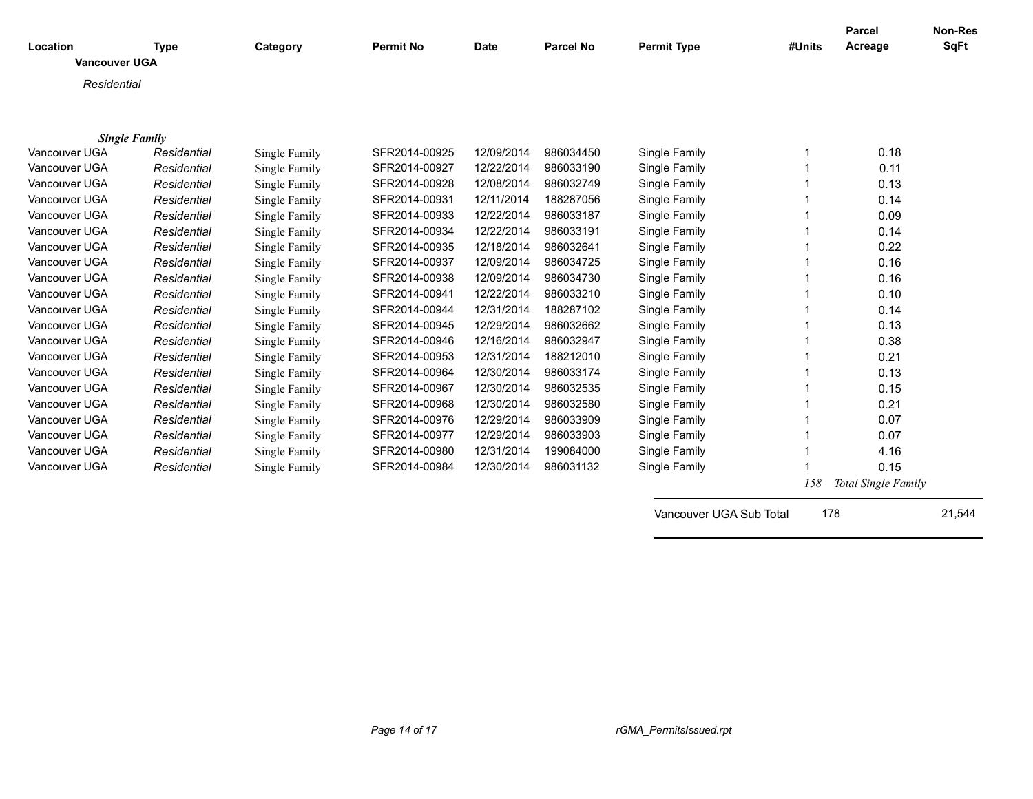| Location<br><b>Vancouver UGA</b> | <b>Type</b> | Category      | <b>Permit No</b> | <b>Date</b> | <b>Parcel No</b> | <b>Permit Type</b>      | #Units | <b>Parcel</b><br>Acreage | <b>Non-Res</b><br>SqFt |
|----------------------------------|-------------|---------------|------------------|-------------|------------------|-------------------------|--------|--------------------------|------------------------|
| Residential                      |             |               |                  |             |                  |                         |        |                          |                        |
|                                  |             |               |                  |             |                  |                         |        |                          |                        |
| <b>Single Family</b>             |             |               |                  |             |                  |                         |        |                          |                        |
| Vancouver UGA                    | Residential | Single Family | SFR2014-00925    | 12/09/2014  | 986034450        | Single Family           |        | 0.18                     |                        |
| Vancouver UGA                    | Residential | Single Family | SFR2014-00927    | 12/22/2014  | 986033190        | Single Family           |        | 0.11                     |                        |
| Vancouver UGA                    | Residential | Single Family | SFR2014-00928    | 12/08/2014  | 986032749        | Single Family           |        | 0.13                     |                        |
| Vancouver UGA                    | Residential | Single Family | SFR2014-00931    | 12/11/2014  | 188287056        | Single Family           |        | 0.14                     |                        |
| Vancouver UGA                    | Residential | Single Family | SFR2014-00933    | 12/22/2014  | 986033187        | Single Family           |        | 0.09                     |                        |
| Vancouver UGA                    | Residential | Single Family | SFR2014-00934    | 12/22/2014  | 986033191        | Single Family           |        | 0.14                     |                        |
| Vancouver UGA                    | Residential | Single Family | SFR2014-00935    | 12/18/2014  | 986032641        | Single Family           |        | 0.22                     |                        |
| Vancouver UGA                    | Residential | Single Family | SFR2014-00937    | 12/09/2014  | 986034725        | Single Family           |        | 0.16                     |                        |
| Vancouver UGA                    | Residential | Single Family | SFR2014-00938    | 12/09/2014  | 986034730        | Single Family           |        | 0.16                     |                        |
| Vancouver UGA                    | Residential | Single Family | SFR2014-00941    | 12/22/2014  | 986033210        | Single Family           |        | 0.10                     |                        |
| Vancouver UGA                    | Residential | Single Family | SFR2014-00944    | 12/31/2014  | 188287102        | Single Family           |        | 0.14                     |                        |
| Vancouver UGA                    | Residential | Single Family | SFR2014-00945    | 12/29/2014  | 986032662        | Single Family           |        | 0.13                     |                        |
| Vancouver UGA                    | Residential | Single Family | SFR2014-00946    | 12/16/2014  | 986032947        | Single Family           |        | 0.38                     |                        |
| Vancouver UGA                    | Residential | Single Family | SFR2014-00953    | 12/31/2014  | 188212010        | Single Family           |        | 0.21                     |                        |
| Vancouver UGA                    | Residential | Single Family | SFR2014-00964    | 12/30/2014  | 986033174        | Single Family           |        | 0.13                     |                        |
| Vancouver UGA                    | Residential | Single Family | SFR2014-00967    | 12/30/2014  | 986032535        | Single Family           |        | 0.15                     |                        |
| Vancouver UGA                    | Residential | Single Family | SFR2014-00968    | 12/30/2014  | 986032580        | Single Family           |        | 0.21                     |                        |
| Vancouver UGA                    | Residential | Single Family | SFR2014-00976    | 12/29/2014  | 986033909        | Single Family           |        | 0.07                     |                        |
| Vancouver UGA                    | Residential | Single Family | SFR2014-00977    | 12/29/2014  | 986033903        | Single Family           |        | 0.07                     |                        |
| Vancouver UGA                    | Residential | Single Family | SFR2014-00980    | 12/31/2014  | 199084000        | Single Family           |        | 4.16                     |                        |
| Vancouver UGA                    | Residential | Single Family | SFR2014-00984    | 12/30/2014  | 986031132        | Single Family           |        | 0.15                     |                        |
|                                  |             |               |                  |             |                  |                         | 158    | Total Single Family      |                        |
|                                  |             |               |                  |             |                  | Vancouver UGA Sub Total | 178    |                          | 21,544                 |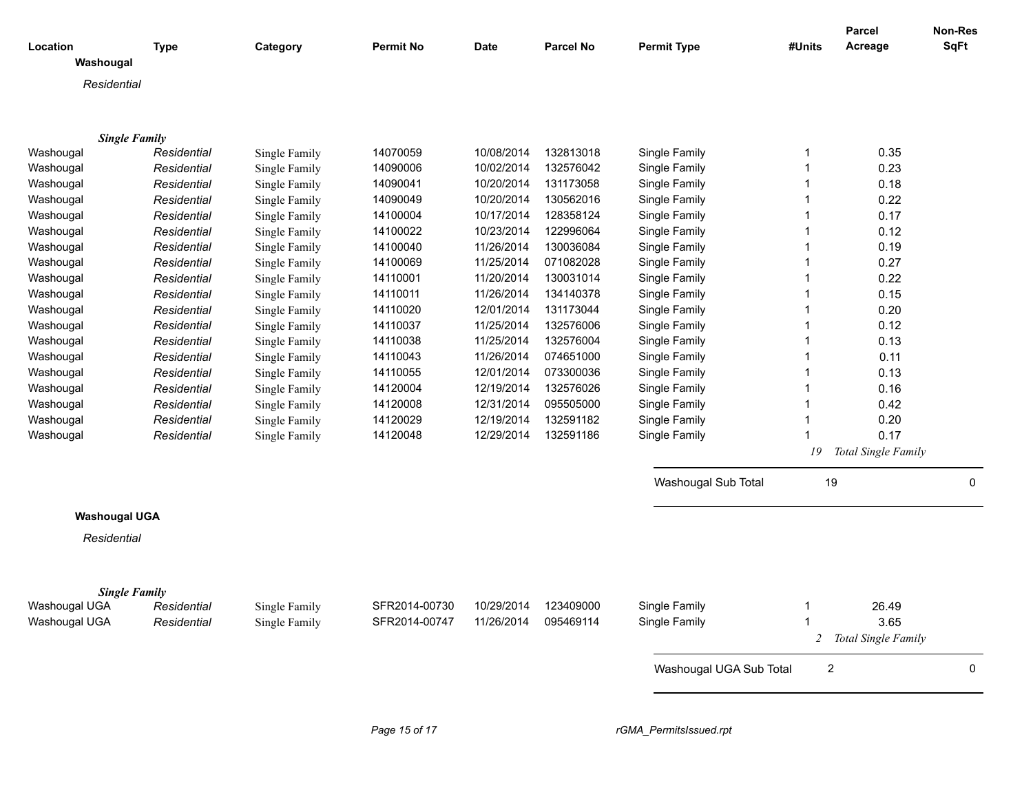| Location<br>Washougal | <b>Type</b> | Category             | <b>Permit No</b> | <b>Date</b> | <b>Parcel No</b>     | <b>Permit Type</b>      | #Units | <b>Parcel</b><br>Acreage | Non-Res<br><b>SqFt</b> |
|-----------------------|-------------|----------------------|------------------|-------------|----------------------|-------------------------|--------|--------------------------|------------------------|
| Residential           |             |                      |                  |             |                      |                         |        |                          |                        |
|                       |             |                      |                  |             |                      |                         |        |                          |                        |
|                       |             |                      |                  |             |                      |                         |        |                          |                        |
| <b>Single Family</b>  |             |                      |                  |             |                      |                         |        |                          |                        |
| Washougal             | Residential | Single Family        | 14070059         | 10/08/2014  | 132813018            | Single Family           | 1      | 0.35                     |                        |
| Washougal             | Residential | <b>Single Family</b> | 14090006         | 10/02/2014  | 132576042            | Single Family           | 1      | 0.23                     |                        |
| Washougal             | Residential | Single Family        | 14090041         | 10/20/2014  | 131173058            | Single Family           | 1      | 0.18                     |                        |
| Washougal             | Residential | Single Family        | 14090049         | 10/20/2014  | 130562016            | Single Family           | 1      | 0.22                     |                        |
| Washougal             | Residential | Single Family        | 14100004         | 10/17/2014  | 128358124            | Single Family           | 1      | 0.17                     |                        |
| Washougal             | Residential | Single Family        | 14100022         | 10/23/2014  | 122996064            | Single Family           | 1      | 0.12                     |                        |
| Washougal             | Residential | Single Family        | 14100040         | 11/26/2014  | 130036084            | Single Family           | 1      | 0.19                     |                        |
| Washougal             | Residential | Single Family        | 14100069         | 11/25/2014  | 071082028            | Single Family           | 1      | 0.27                     |                        |
| Washougal             | Residential | Single Family        | 14110001         | 11/20/2014  | 130031014            | Single Family           | 1      | 0.22                     |                        |
| Washougal             | Residential | Single Family        | 14110011         | 11/26/2014  | 134140378            | Single Family           | 1      | 0.15                     |                        |
| Washougal             | Residential | Single Family        | 14110020         | 12/01/2014  | 131173044            | Single Family           | 1      | 0.20                     |                        |
| Washougal             | Residential | Single Family        | 14110037         | 11/25/2014  | 132576006            | Single Family           | 1      | 0.12                     |                        |
| Washougal             | Residential | <b>Single Family</b> | 14110038         | 11/25/2014  | 132576004            | Single Family           | 1      | 0.13                     |                        |
| Washougal             | Residential | Single Family        | 14110043         | 11/26/2014  | 074651000            | Single Family           | 1      | 0.11                     |                        |
| Washougal             | Residential | Single Family        | 14110055         | 12/01/2014  | 073300036            | Single Family           |        | 0.13                     |                        |
| Washougal             | Residential | Single Family        | 14120004         | 12/19/2014  | 132576026            | Single Family           |        | 0.16                     |                        |
| Washougal             | Residential | Single Family        | 14120008         | 12/31/2014  | 095505000            | Single Family           | 1      | 0.42                     |                        |
| Washougal             | Residential | Single Family        | 14120029         | 12/19/2014  | 132591182            | Single Family           | 1      | 0.20                     |                        |
| Washougal             | Residential | Single Family        | 14120048         | 12/29/2014  | 132591186            | Single Family           | 1      | 0.17                     |                        |
|                       |             |                      |                  |             |                      |                         | 19     | Total Single Family      |                        |
|                       |             |                      |                  |             |                      | Washougal Sub Total     | 19     |                          | 0                      |
| <b>Washougal UGA</b>  |             |                      |                  |             |                      |                         |        |                          |                        |
| Residential           |             |                      |                  |             |                      |                         |        |                          |                        |
|                       |             |                      |                  |             |                      |                         |        |                          |                        |
| <b>Single Family</b>  |             |                      |                  |             |                      |                         |        |                          |                        |
| Washougal UGA         | Residential | Single Family        | SFR2014-00730    | 10/29/2014  | 123409000            | Single Family           |        | 26.49                    |                        |
| Washougal UGA         | Residential | Single Family        | SFR2014-00747    |             | 11/26/2014 095469114 | Single Family           | 1      | 3.65                     |                        |
|                       |             |                      |                  |             |                      |                         |        | 2 Total Single Family    |                        |
|                       |             |                      |                  |             |                      | Washougal UGA Sub Total | 2      |                          | 0                      |
|                       |             |                      |                  |             |                      |                         |        |                          |                        |
|                       |             |                      | Page 15 of 17    |             |                      | rGMA_PermitsIssued.rpt  |        |                          |                        |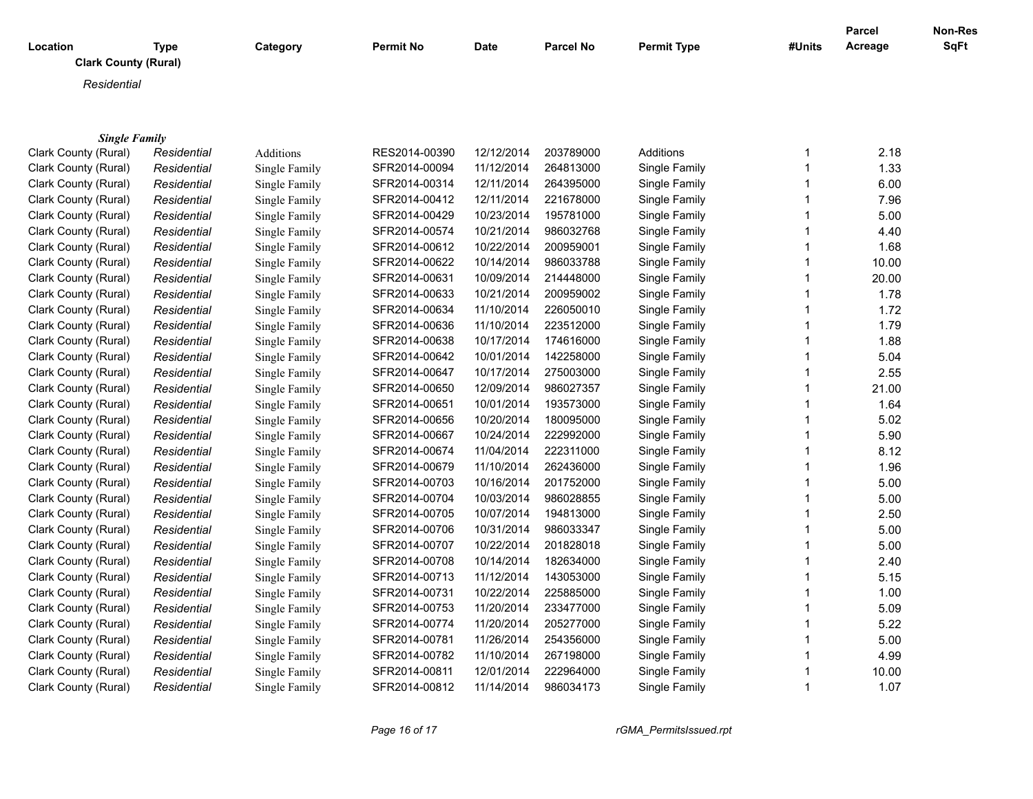| Location    | <b>Type</b><br><b>Clark County (Rural)</b> | Category | <b>Permit No</b> | Date | <b>Parcel No</b> | <b>Permit Type</b> | #Units | <b>Parcel</b><br>Acreage | <b>Non-Res</b><br><b>SqFt</b> |
|-------------|--------------------------------------------|----------|------------------|------|------------------|--------------------|--------|--------------------------|-------------------------------|
| Residential |                                            |          |                  |      |                  |                    |        |                          |                               |
|             |                                            |          |                  |      |                  |                    |        |                          |                               |
|             | <b>Single Family</b>                       |          |                  |      |                  |                    |        |                          |                               |

| Clark County (Rural) | Residential | Additions     | RES2014-00390 | 12/12/2014 | 203789000 | Additions     | 2.18  |
|----------------------|-------------|---------------|---------------|------------|-----------|---------------|-------|
| Clark County (Rural) | Residential | Single Family | SFR2014-00094 | 11/12/2014 | 264813000 | Single Family | 1.33  |
| Clark County (Rural) | Residential | Single Family | SFR2014-00314 | 12/11/2014 | 264395000 | Single Family | 6.00  |
| Clark County (Rural) | Residential | Single Family | SFR2014-00412 | 12/11/2014 | 221678000 | Single Family | 7.96  |
| Clark County (Rural) | Residential | Single Family | SFR2014-00429 | 10/23/2014 | 195781000 | Single Family | 5.00  |
| Clark County (Rural) | Residential | Single Family | SFR2014-00574 | 10/21/2014 | 986032768 | Single Family | 4.40  |
| Clark County (Rural) | Residential | Single Family | SFR2014-00612 | 10/22/2014 | 200959001 | Single Family | 1.68  |
| Clark County (Rural) | Residential | Single Family | SFR2014-00622 | 10/14/2014 | 986033788 | Single Family | 10.00 |
| Clark County (Rural) | Residential | Single Family | SFR2014-00631 | 10/09/2014 | 214448000 | Single Family | 20.00 |
| Clark County (Rural) | Residential | Single Family | SFR2014-00633 | 10/21/2014 | 200959002 | Single Family | 1.78  |
| Clark County (Rural) | Residential | Single Family | SFR2014-00634 | 11/10/2014 | 226050010 | Single Family | 1.72  |
| Clark County (Rural) | Residential | Single Family | SFR2014-00636 | 11/10/2014 | 223512000 | Single Family | 1.79  |
| Clark County (Rural) | Residential | Single Family | SFR2014-00638 | 10/17/2014 | 174616000 | Single Family | 1.88  |
| Clark County (Rural) | Residential | Single Family | SFR2014-00642 | 10/01/2014 | 142258000 | Single Family | 5.04  |
| Clark County (Rural) | Residential | Single Family | SFR2014-00647 | 10/17/2014 | 275003000 | Single Family | 2.55  |
| Clark County (Rural) | Residential | Single Family | SFR2014-00650 | 12/09/2014 | 986027357 | Single Family | 21.00 |
| Clark County (Rural) | Residential | Single Family | SFR2014-00651 | 10/01/2014 | 193573000 | Single Family | 1.64  |
| Clark County (Rural) | Residential | Single Family | SFR2014-00656 | 10/20/2014 | 180095000 | Single Family | 5.02  |
| Clark County (Rural) | Residential | Single Family | SFR2014-00667 | 10/24/2014 | 222992000 | Single Family | 5.90  |
| Clark County (Rural) | Residential | Single Family | SFR2014-00674 | 11/04/2014 | 222311000 | Single Family | 8.12  |
| Clark County (Rural) | Residential | Single Family | SFR2014-00679 | 11/10/2014 | 262436000 | Single Family | 1.96  |
| Clark County (Rural) | Residential | Single Family | SFR2014-00703 | 10/16/2014 | 201752000 | Single Family | 5.00  |
| Clark County (Rural) | Residential | Single Family | SFR2014-00704 | 10/03/2014 | 986028855 | Single Family | 5.00  |
| Clark County (Rural) | Residential | Single Family | SFR2014-00705 | 10/07/2014 | 194813000 | Single Family | 2.50  |
| Clark County (Rural) | Residential | Single Family | SFR2014-00706 | 10/31/2014 | 986033347 | Single Family | 5.00  |
| Clark County (Rural) | Residential | Single Family | SFR2014-00707 | 10/22/2014 | 201828018 | Single Family | 5.00  |
| Clark County (Rural) | Residential | Single Family | SFR2014-00708 | 10/14/2014 | 182634000 | Single Family | 2.40  |
| Clark County (Rural) | Residential | Single Family | SFR2014-00713 | 11/12/2014 | 143053000 | Single Family | 5.15  |
| Clark County (Rural) | Residential | Single Family | SFR2014-00731 | 10/22/2014 | 225885000 | Single Family | 1.00  |
| Clark County (Rural) | Residential | Single Family | SFR2014-00753 | 11/20/2014 | 233477000 | Single Family | 5.09  |
| Clark County (Rural) | Residential | Single Family | SFR2014-00774 | 11/20/2014 | 205277000 | Single Family | 5.22  |
| Clark County (Rural) | Residential | Single Family | SFR2014-00781 | 11/26/2014 | 254356000 | Single Family | 5.00  |
| Clark County (Rural) | Residential | Single Family | SFR2014-00782 | 11/10/2014 | 267198000 | Single Family | 4.99  |
| Clark County (Rural) | Residential | Single Family | SFR2014-00811 | 12/01/2014 | 222964000 | Single Family | 10.00 |
| Clark County (Rural) | Residential | Single Family | SFR2014-00812 | 11/14/2014 | 986034173 | Single Family | 1.07  |
|                      |             |               |               |            |           |               |       |

*Page 16 of 17 rGMA\_PermitsIssued.rpt*